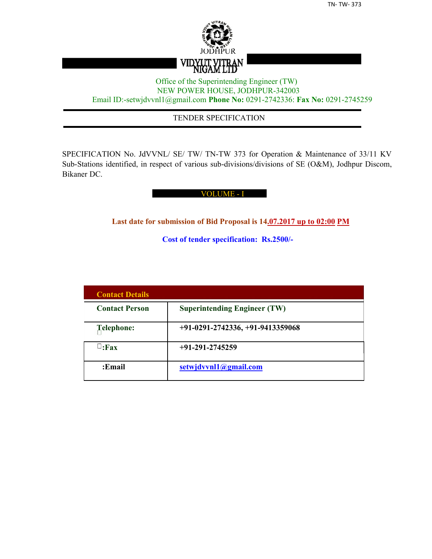

## Office of the Superintending Engineer (TW) NEW POWER HOUSE, JODHPUR-342003 Email ID:-setwjdvvnl1@gmail.com **Phone No:** 0291-2742336: **Fax No:** 0291-2745259

## TENDER SPECIFICATION

SPECIFICATION No. JdVVNL/ SE/ TW/ TN-TW 373 for Operation & Maintenance of 33/11 KV Sub-Stations identified, in respect of various sub-divisions/divisions of SE (O&M), Jodhpur Discom, Bikaner DC.

## VOLUME - I

**Last date for submission of Bid Proposal is 14.07.2017 up to 02:00 PM**

**Cost of tender specification: Rs.2500/-**

| <b>Contact Details</b> |                                     |
|------------------------|-------------------------------------|
| <b>Contact Person</b>  | <b>Superintending Engineer (TW)</b> |
| Telephone:             | $+91-0291-2742336, +91-9413359068$  |
| $\sqcup$ :Fax          | $+91-291-2745259$                   |
| :Email                 | setwjdvvnl1@gmail.com               |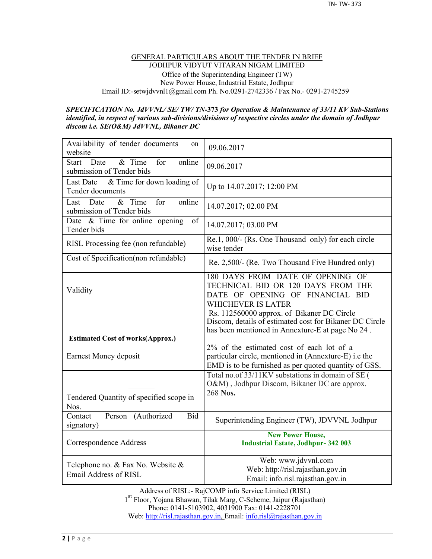#### GENERAL PARTICULARS ABOUT THE TENDER IN BRIEF JODHPUR VIDYUT VITARAN NIGAM LIMITED Office of the Superintending Engineer (TW) New Power House, Industrial Estate, Jodhpur Email ID:-setwjdvvnl1@gmail.com Ph. No.0291-2742336 / Fax No.- 0291-2745259

#### *SPECIFICATION No. JdVVNL/ SE/ TW/ TN-***373** *for Operation & Maintenance of 33/11 KV Sub-Stations identified, in respect of various sub-divisions/divisions of respective circles under the domain of Jodhpur discom i.e. SE(O&M) JdVVNL, Bikaner DC*

| Availability of tender documents<br>on<br>website                            | 09.06.2017                                                                                                                                                  |
|------------------------------------------------------------------------------|-------------------------------------------------------------------------------------------------------------------------------------------------------------|
| & Time<br>online<br><b>Start</b><br>Date<br>for<br>submission of Tender bids | 09.06.2017                                                                                                                                                  |
| & Time for down loading of<br>Last Date<br>Tender documents                  | Up to 14.07.2017; 12:00 PM                                                                                                                                  |
| $&$ Time<br>online<br>for<br>Last<br>Date<br>submission of Tender bids       | 14.07.2017; 02.00 PM                                                                                                                                        |
| Date & Time for online opening<br>of<br>Tender bids                          | 14.07.2017; 03.00 PM                                                                                                                                        |
| RISL Processing fee (non refundable)                                         | Re.1, 000/- (Rs. One Thousand only) for each circle<br>wise tender                                                                                          |
| Cost of Specification(non refundable)                                        | Re. 2,500/- (Re. Two Thousand Five Hundred only)                                                                                                            |
| Validity                                                                     | 180 DAYS FROM DATE OF OPENING OF<br>TECHNICAL BID OR 120 DAYS FROM THE<br>DATE OF OPENING OF FINANCIAL BID<br><b>WHICHEVER IS LATER</b>                     |
|                                                                              | Rs. 112560000 approx. of Bikaner DC Circle                                                                                                                  |
|                                                                              | Discom, details of estimated cost for Bikaner DC Circle<br>has been mentioned in Annexture-E at page No 24.                                                 |
| <b>Estimated Cost of works(Approx.)</b><br>Earnest Money deposit             | 2% of the estimated cost of each lot of a<br>particular circle, mentioned in (Annexture-E) i.e the<br>EMD is to be furnished as per quoted quantity of GSS. |
| Tendered Quantity of specified scope in<br>Nos.                              | Total no.of 33/11KV substations in domain of SE (<br>O&M), Jodhpur Discom, Bikaner DC are approx.<br>268 Nos.                                               |
| Contact<br>Person<br>(Authorized<br><b>Bid</b><br>signatory)                 | Superintending Engineer (TW), JDVVNL Jodhpur                                                                                                                |
| Correspondence Address                                                       | <b>New Power House,</b><br><b>Industrial Estate, Jodhpur-342 003</b>                                                                                        |

Address of RISL:- RajCOMP info Service Limited (RISL) 1 st Floor, Yojana Bhawan, Tilak Marg, C-Scheme, Jaipur (Rajasthan) Phone: 0141-5103902, 4031900 Fax: 0141-2228701 Web: http://risl.rajasthan.gov.in, Email: info.risl@rajasthan.gov.in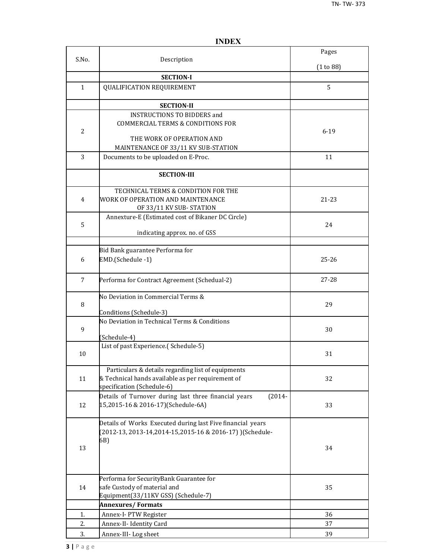|                |                                                                                                                                       | Pages     |
|----------------|---------------------------------------------------------------------------------------------------------------------------------------|-----------|
| S.No.          | Description                                                                                                                           | (1 to 88) |
|                | <b>SECTION-I</b>                                                                                                                      |           |
| $\mathbf{1}$   | QUALIFICATION REQUIREMENT                                                                                                             | 5         |
|                | <b>SECTION-II</b>                                                                                                                     |           |
| $\overline{2}$ | <b>INSTRUCTIONS TO BIDDERS and</b><br><b>COMMERCIAL TERMS &amp; CONDITIONS FOR</b><br>THE WORK OF OPERATION AND                       | $6 - 19$  |
|                | MAINTENANCE OF 33/11 KV SUB-STATION                                                                                                   |           |
| 3              | Documents to be uploaded on E-Proc.                                                                                                   | 11        |
|                | <b>SECTION-III</b>                                                                                                                    |           |
| 4              | TECHNICAL TERMS & CONDITION FOR THE<br>WORK OF OPERATION AND MAINTENANCE<br>OF 33/11 KV SUB-STATION                                   | 21-23     |
| 5              | Annexture-E (Estimated cost of Bikaner DC Circle)<br>indicating approx. no. of GSS                                                    | 24        |
|                |                                                                                                                                       |           |
| 6              | Bid Bank guarantee Performa for<br>EMD.(Schedule -1)                                                                                  | $25 - 26$ |
| 7              | Performa for Contract Agreement (Schedual-2)                                                                                          | 27-28     |
| 8              | No Deviation in Commercial Terms &<br>Conditions (Schedule-3)                                                                         | 29        |
| 9              | No Deviation in Technical Terms & Conditions<br>(Schedule-4)                                                                          | 30        |
| 10             | List of past Experience.(Schedule-5)                                                                                                  | 31        |
| 11             | Particulars & details regarding list of equipments<br>& Technical hands available as per requirement of<br>specification (Schedule-6) | 32        |
| 12             | Details of Turnover during last three financial years<br>$(2014 -$<br>15,2015-16 & 2016-17)(Schedule-6A)                              | 33        |
| 13             | Details of Works Executed during last Five financial years<br>(2012-13, 2013-14, 2014-15, 2015-16 & 2016-17) ) (Schedule-<br>6B)      | 34        |
| 14             | Performa for SecurityBank Guarantee for<br>safe Custody of material and<br>Equipment(33/11KV GSS) (Schedule-7)                        | 35        |
|                | <b>Annexures/Formats</b>                                                                                                              |           |
| 1.             | Annex-I- PTW Register                                                                                                                 | 36        |
| 2.             | Annex-II- Identity Card                                                                                                               | 37        |
| 3.             | Annex-III-Log sheet                                                                                                                   | 39        |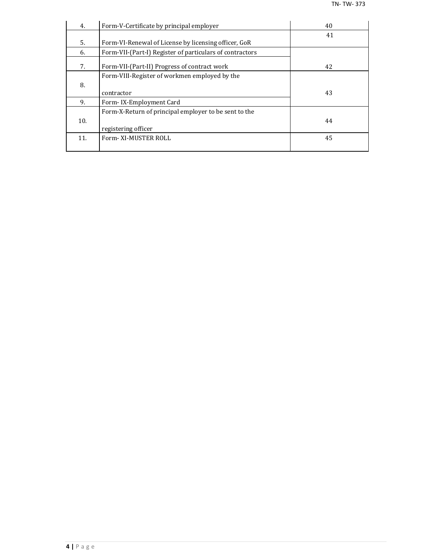| 4.  | Form-V-Certificate by principal employer                 | 40 |
|-----|----------------------------------------------------------|----|
|     |                                                          | 41 |
| 5.  | Form-VI-Renewal of License by licensing officer, GoR     |    |
| 6.  | Form-VII-(Part-I) Register of particulars of contractors |    |
| 7.  | Form-VII-(Part-II) Progress of contract work             | 42 |
|     | Form-VIII-Register of workmen employed by the            |    |
| 8.  |                                                          |    |
|     | contractor                                               | 43 |
| 9.  | Form-IX-Employment Card                                  |    |
|     | Form-X-Return of principal employer to be sent to the    |    |
| 10. |                                                          | 44 |
|     | registering officer                                      |    |
| 11. | Form-XI-MUSTER ROLL                                      | 45 |
|     |                                                          |    |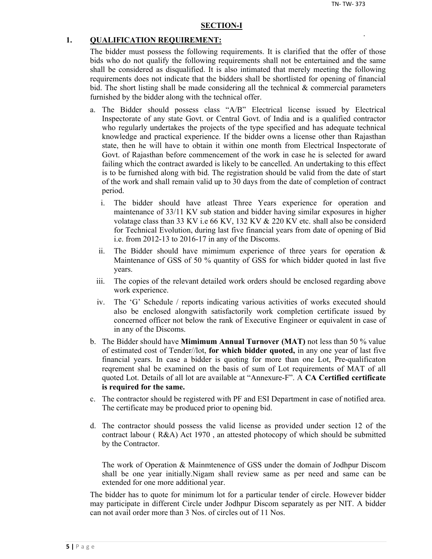#### **SECTION-I**

#### **1. QUALIFICATION REQUIREMENT:**

The bidder must possess the following requirements. It is clarified that the offer of those bids who do not qualify the following requirements shall not be entertained and the same shall be considered as disqualified. It is also intimated that merely meeting the following requirements does not indicate that the bidders shall be shortlisted for opening of financial bid. The short listing shall be made considering all the technical  $\&$  commercial parameters furnished by the bidder along with the technical offer.

- a. The Bidder should possess class "A/B" Electrical license issued by Electrical Inspectorate of any state Govt. or Central Govt. of India and is a qualified contractor who regularly undertakes the projects of the type specified and has adequate technical knowledge and practical experience. If the bidder owns a license other than Rajasthan state, then he will have to obtain it within one month from Electrical Inspectorate of Govt. of Rajasthan before commencement of the work in case he is selected for award failing which the contract awarded is likely to be cancelled. An undertaking to this effect is to be furnished along with bid. The registration should be valid from the date of start of the work and shall remain valid up to 30 days from the date of completion of contract period.
	- i. The bidder should have atleast Three Years experience for operation and maintenance of 33/11 KV sub station and bidder having similar exposures in higher volatage class than 33 KV i.e 66 KV, 132 KV & 220 KV etc. shall also be considerd for Technical Evolution, during last five financial years from date of opening of Bid i.e. from 2012-13 to 2016-17 in any of the Discoms.
	- ii. The Bidder should have mimimum experience of three years for operation  $\&$ Maintenance of GSS of 50 % quantity of GSS for which bidder quoted in last five years.
	- iii. The copies of the relevant detailed work orders should be enclosed regarding above work experience.
	- iv. The 'G' Schedule / reports indicating various activities of works executed should also be enclosed alongwith satisfactorily work completion certificate issued by concerned officer not below the rank of Executive Engineer or equivalent in case of in any of the Discoms.
- b. The Bidder should have **Mimimum Annual Turnover (MAT)** not less than 50 % value of estimated cost of Tender//lot, **for which bidder quoted,** in any one year of last five financial years. In case a bidder is quoting for more than one Lot, Pre-qualificaton reqrement shal be examined on the basis of sum of Lot requirements of MAT of all quoted Lot. Details of all lot are available at "Annexure-F". A **CA Certified certificate is required for the same.**
- c. The contractor should be registered with PF and ESI Department in case of notified area. The certificate may be produced prior to opening bid.
- d. The contractor should possess the valid license as provided under section 12 of the contract labour ( R&A) Act 1970 , an attested photocopy of which should be submitted by the Contractor.

The work of Operation & Mainmtenence of GSS under the domain of Jodhpur Discom shall be one year initially.Nigam shall review same as per need and same can be extended for one more additional year.

The bidder has to quote for minimum lot for a particular tender of circle. However bidder may participate in different Circle under Jodhpur Discom separately as per NIT. A bidder can not avail order more than 3 Nos. of circles out of 11 Nos.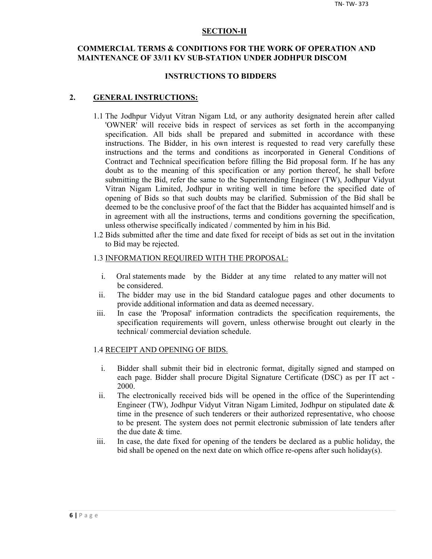#### **SECTION-II**

## **COMMERCIAL TERMS & CONDITIONS FOR THE WORK OF OPERATION AND MAINTENANCE OF 33/11 KV SUB-STATION UNDER JODHPUR DISCOM**

#### **INSTRUCTIONS TO BIDDERS**

#### **2. GENERAL INSTRUCTIONS:**

- 1.1 The Jodhpur Vidyut Vitran Nigam Ltd, or any authority designated herein after called 'OWNER' will receive bids in respect of services as set forth in the accompanying specification. All bids shall be prepared and submitted in accordance with these instructions. The Bidder, in his own interest is requested to read very carefully these instructions and the terms and conditions as incorporated in General Conditions of Contract and Technical specification before filling the Bid proposal form. If he has any doubt as to the meaning of this specification or any portion thereof, he shall before submitting the Bid, refer the same to the Superintending Engineer (TW), Jodhpur Vidyut Vitran Nigam Limited, Jodhpur in writing well in time before the specified date of opening of Bids so that such doubts may be clarified. Submission of the Bid shall be deemed to be the conclusive proof of the fact that the Bidder has acquainted himself and is in agreement with all the instructions, terms and conditions governing the specification, unless otherwise specifically indicated / commented by him in his Bid.
- 1.2 Bids submitted after the time and date fixed for receipt of bids as set out in the invitation to Bid may be rejected.

#### 1.3 INFORMATION REQUIRED WITH THE PROPOSAL:

- i. Oral statements made by the Bidder at any time related to any matter will not be considered.
- ii. The bidder may use in the bid Standard catalogue pages and other documents to provide additional information and data as deemed necessary.
- iii. In case the 'Proposal' information contradicts the specification requirements, the specification requirements will govern, unless otherwise brought out clearly in the technical/ commercial deviation schedule.

#### 1.4 RECEIPT AND OPENING OF BIDS.

- i. Bidder shall submit their bid in electronic format, digitally signed and stamped on each page. Bidder shall procure Digital Signature Certificate (DSC) as per IT act - 2000.
- ii. The electronically received bids will be opened in the office of the Superintending Engineer (TW), Jodhpur Vidyut Vitran Nigam Limited, Jodhpur on stipulated date & time in the presence of such tenderers or their authorized representative, who choose to be present. The system does not permit electronic submission of late tenders after the due date & time.
- iii. In case, the date fixed for opening of the tenders be declared as a public holiday, the bid shall be opened on the next date on which office re-opens after such holiday(s).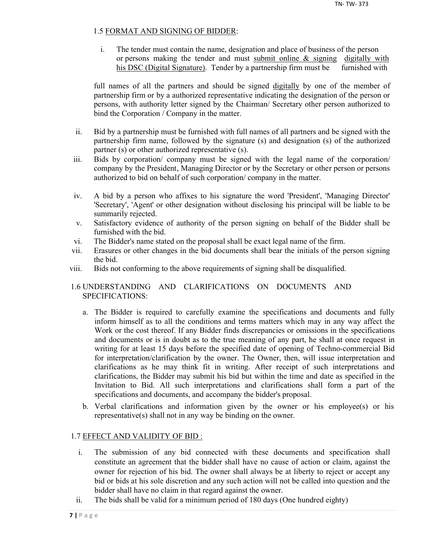## 1.5 FORMAT AND SIGNING OF BIDDER:

i. The tender must contain the name, designation and place of business of the person or persons making the tender and must submit online & signing digitally with his DSC (Digital Signature). Tender by a partnership firm must be furnished with

full names of all the partners and should be signed digitally by one of the member of partnership firm or by a authorized representative indicating the designation of the person or persons, with authority letter signed by the Chairman/ Secretary other person authorized to bind the Corporation / Company in the matter.

- ii. Bid by a partnership must be furnished with full names of all partners and be signed with the partnership firm name, followed by the signature (s) and designation (s) of the authorized partner (s) or other authorized representative (s).
- iii. Bids by corporation/ company must be signed with the legal name of the corporation/ company by the President, Managing Director or by the Secretary or other person or persons authorized to bid on behalf of such corporation/ company in the matter.
- iv. A bid by a person who affixes to his signature the word 'President', 'Managing Director' 'Secretary', 'Agent' or other designation without disclosing his principal will be liable to be summarily rejected.
- v. Satisfactory evidence of authority of the person signing on behalf of the Bidder shall be furnished with the bid.
- vi. The Bidder's name stated on the proposal shall be exact legal name of the firm.
- vii. Erasures or other changes in the bid documents shall bear the initials of the person signing the bid.
- viii. Bids not conforming to the above requirements of signing shall be disqualified.

## 1.6 UNDERSTANDING AND CLARIFICATIONS ON DOCUMENTS AND SPECIFICATIONS:

- a. The Bidder is required to carefully examine the specifications and documents and fully inform himself as to all the conditions and terms matters which may in any way affect the Work or the cost thereof. If any Bidder finds discrepancies or omissions in the specifications and documents or is in doubt as to the true meaning of any part, he shall at once request in writing for at least 15 days before the specified date of opening of Techno-commercial Bid for interpretation/clarification by the owner. The Owner, then, will issue interpretation and clarifications as he may think fit in writing. After receipt of such interpretations and clarifications, the Bidder may submit his bid but within the time and date as specified in the Invitation to Bid. All such interpretations and clarifications shall form a part of the specifications and documents, and accompany the bidder's proposal.
- b. Verbal clarifications and information given by the owner or his employee(s) or his representative(s) shall not in any way be binding on the owner.

## 1.7 EFFECT AND VALIDITY OF BID :

- i. The submission of any bid connected with these documents and specification shall constitute an agreement that the bidder shall have no cause of action or claim, against the owner for rejection of his bid. The owner shall always be at liberty to reject or accept any bid or bids at his sole discretion and any such action will not be called into question and the bidder shall have no claim in that regard against the owner.
- ii. The bids shall be valid for a minimum period of 180 days (One hundred eighty)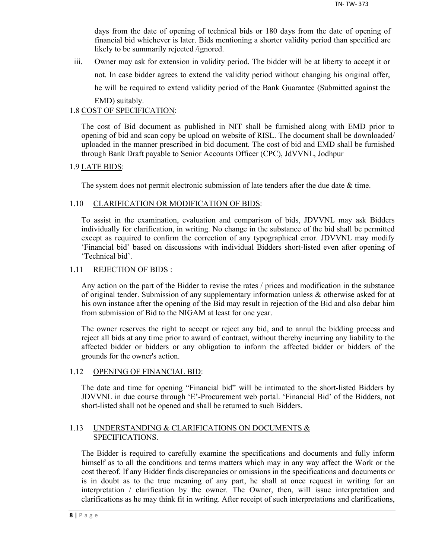days from the date of opening of technical bids or 180 days from the date of opening of financial bid whichever is later. Bids mentioning a shorter validity period than specified are likely to be summarily rejected /ignored.

iii. Owner may ask for extension in validity period. The bidder will be at liberty to accept it or not. In case bidder agrees to extend the validity period without changing his original offer, he will be required to extend validity period of the Bank Guarantee (Submitted against the EMD) suitably.

## 1.8 COST OF SPECIFICATION:

The cost of Bid document as published in NIT shall be furnished along with EMD prior to opening of bid and scan copy be upload on website of RISL. The document shall be downloaded/ uploaded in the manner prescribed in bid document. The cost of bid and EMD shall be furnished through Bank Draft payable to Senior Accounts Officer (CPC), JdVVNL, Jodhpur

## 1.9 LATE BIDS:

The system does not permit electronic submission of late tenders after the due date  $\&$  time.

## 1.10 CLARIFICATION OR MODIFICATION OF BIDS:

To assist in the examination, evaluation and comparison of bids, JDVVNL may ask Bidders individually for clarification, in writing. No change in the substance of the bid shall be permitted except as required to confirm the correction of any typographical error. JDVVNL may modify 'Financial bid' based on discussions with individual Bidders short-listed even after opening of 'Technical bid'.

## 1.11 REJECTION OF BIDS :

Any action on the part of the Bidder to revise the rates / prices and modification in the substance of original tender. Submission of any supplementary information unless & otherwise asked for at his own instance after the opening of the Bid may result in rejection of the Bid and also debar him from submission of Bid to the NIGAM at least for one year.

The owner reserves the right to accept or reject any bid, and to annul the bidding process and reject all bids at any time prior to award of contract, without thereby incurring any liability to the affected bidder or bidders or any obligation to inform the affected bidder or bidders of the grounds for the owner's action.

## 1.12 OPENING OF FINANCIAL BID:

The date and time for opening "Financial bid" will be intimated to the short-listed Bidders by JDVVNL in due course through 'E'-Procurement web portal. 'Financial Bid' of the Bidders, not short-listed shall not be opened and shall be returned to such Bidders.

## 1.13 UNDERSTANDING & CLARIFICATIONS ON DOCUMENTS & SPECIFICATIONS.

The Bidder is required to carefully examine the specifications and documents and fully inform himself as to all the conditions and terms matters which may in any way affect the Work or the cost thereof. If any Bidder finds discrepancies or omissions in the specifications and documents or is in doubt as to the true meaning of any part, he shall at once request in writing for an interpretation / clarification by the owner. The Owner, then, will issue interpretation and clarifications as he may think fit in writing. After receipt of such interpretations and clarifications,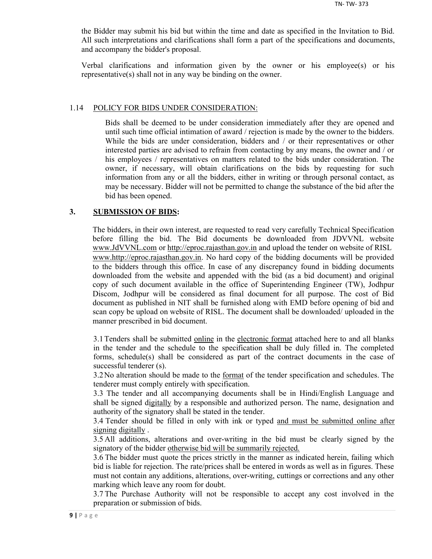the Bidder may submit his bid but within the time and date as specified in the Invitation to Bid. All such interpretations and clarifications shall form a part of the specifications and documents, and accompany the bidder's proposal.

Verbal clarifications and information given by the owner or his employee(s) or his representative(s) shall not in any way be binding on the owner.

#### 1.14 POLICY FOR BIDS UNDER CONSIDERATION:

Bids shall be deemed to be under consideration immediately after they are opened and until such time official intimation of award / rejection is made by the owner to the bidders. While the bids are under consideration, bidders and / or their representatives or other interested parties are advised to refrain from contacting by any means, the owner and / or his employees / representatives on matters related to the bids under consideration. The owner, if necessary, will obtain clarifications on the bids by requesting for such information from any or all the bidders, either in writing or through personal contact, as may be necessary. Bidder will not be permitted to change the substance of the bid after the bid has been opened.

### **3. SUBMISSION OF BIDS:**

The bidders, in their own interest, are requested to read very carefully Technical Specification before filling the bid. The Bid documents be downloaded from JDVVNL website www.JdVVNL.com or http://eproc.rajasthan.gov.in and upload the tender on website of RISL www.http://eproc.rajasthan.gov.in. No hard copy of the bidding documents will be provided to the bidders through this office. In case of any discrepancy found in bidding documents downloaded from the website and appended with the bid (as a bid document) and original copy of such document available in the office of Superintending Engineer (TW), Jodhpur Discom, Jodhpur will be considered as final document for all purpose. The cost of Bid document as published in NIT shall be furnished along with EMD before opening of bid and scan copy be upload on website of RISL. The document shall be downloaded/ uploaded in the manner prescribed in bid document.

3.1 Tenders shall be submitted online in the electronic format attached here to and all blanks in the tender and the schedule to the specification shall be duly filled in. The completed forms, schedule(s) shall be considered as part of the contract documents in the case of successful tenderer (s).

3.2 No alteration should be made to the format of the tender specification and schedules. The tenderer must comply entirely with specification.

3.3 The tender and all accompanying documents shall be in Hindi/English Language and shall be signed digitally by a responsible and authorized person. The name, designation and authority of the signatory shall be stated in the tender.

3.4 Tender should be filled in only with ink or typed and must be submitted online after signing digitally .

3.5 All additions, alterations and over-writing in the bid must be clearly signed by the signatory of the bidder otherwise bid will be summarily rejected.

3.6 The bidder must quote the prices strictly in the manner as indicated herein, failing which bid is liable for rejection. The rate/prices shall be entered in words as well as in figures. These must not contain any additions, alterations, over-writing, cuttings or corrections and any other marking which leave any room for doubt.

3.7 The Purchase Authority will not be responsible to accept any cost involved in the preparation or submission of bids.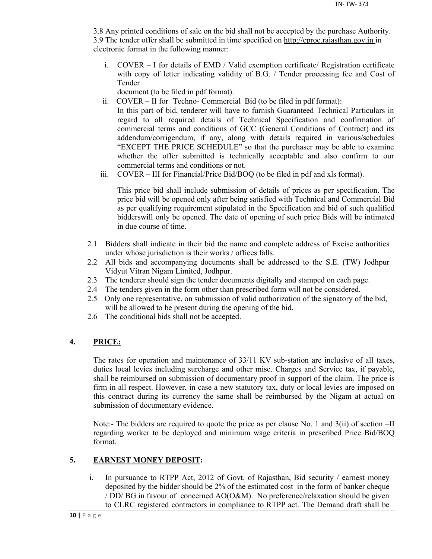3.8 Any printed conditions of sale on the bid shall not be accepted by the purchase Authority. 3.9 The tender offer shall be submitted in time specified on http://eproc.rajasthan.gov.in in electronic format in the following manner:

i. COVER – I for details of EMD / Valid exemption certificate/ Registration certificate with copy of letter indicating validity of B.G. / Tender processing fee and Cost of Tender

document (to be filed in pdf format).

- ii. COVER II for Techno- Commercial Bid (to be filed in pdf format): In this part of bid, tenderer will have to furnish Guaranteed Technical Particulars in regard to all required details of Technical Specification and confirmation of commercial terms and conditions of GCC (General Conditions of Contract) and its addendum/corrigendum, if any, along with details required in various/schedules "EXCEPT THE PRICE SCHEDULE" so that the purchaser may be able to examine whether the offer submitted is technically acceptable and also confirm to our commercial terms and conditions or not.
- iii. COVER III for Financial/Price Bid/BOQ (to be filed in pdf and xls format).

This price bid shall include submission of details of prices as per specification. The price bid will be opened only after being satisfied with Technical and Commercial Bid as per qualifying requirement stipulated in the Specification and bid of such qualified bidderswill only be opened. The date of opening of such price Bids will be intimated in due course of time.

- 2.1 Bidders shall indicate in their bid the name and complete address of Excise authorities under whose jurisdiction is their works / offices falls.
- 2.2 All bids and accompanying documents shall be addressed to the S.E. (TW) Jodhpur Vidyut Vitran Nigam Limited, Jodhpur.
- 2.3 The tenderer should sign the tender documents digitally and stamped on each page.
- 2.4 The tenders given in the form other than prescribed form will not be considered.
- 2.5 Only one representative, on submission of valid authorization of the signatory of the bid, will be allowed to be present during the opening of the bid.
- 2.6 The conditional bids shall not be accepted.

## **4. PRICE:**

The rates for operation and maintenance of 33/11 KV sub-station are inclusive of all taxes, duties local levies including surcharge and other misc. Charges and Service tax, if payable, shall be reimbursed on submission of documentary proof in support of the claim. The price is firm in all respect. However, in case a new statutory tax, duty or local levies are imposed on this contract during its currency the same shall be reimbursed by the Nigam at actual on submission of documentary evidence.

Note:- The bidders are required to quote the price as per clause No. 1 and 3(ii) of section –II regarding worker to be deployed and minimum wage criteria in prescribed Price Bid/BOQ format.

## **5. EARNEST MONEY DEPOSIT:**

i. In pursuance to RTPP Act, 2012 of Govt. of Rajasthan, Bid security / earnest money deposited by the bidder should be 2% of the estimated cost in the form of banker cheque / DD/ BG in favour of concerned AO(O&M). No preference/relaxation should be given to CLRC registered contractors in compliance to RTPP act. The Demand draft shall be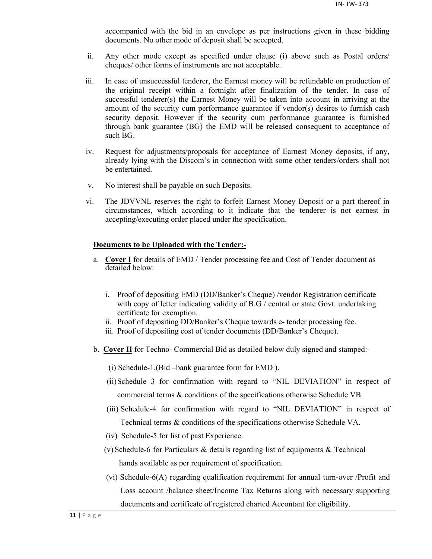accompanied with the bid in an envelope as per instructions given in these bidding documents. No other mode of deposit shall be accepted.

- ii. Any other mode except as specified under clause (i) above such as Postal orders/ cheques/ other forms of instruments are not acceptable.
- iii. In case of unsuccessful tenderer, the Earnest money will be refundable on production of the original receipt within a fortnight after finalization of the tender. In case of successful tenderer(s) the Earnest Money will be taken into account in arriving at the amount of the security cum performance guarantee if vendor(s) desires to furnish cash security deposit. However if the security cum performance guarantee is furnished through bank guarantee (BG) the EMD will be released consequent to acceptance of such BG.
- iv. Request for adjustments/proposals for acceptance of Earnest Money deposits, if any, already lying with the Discom's in connection with some other tenders/orders shall not be entertained.
- v. No interest shall be payable on such Deposits.
- vi. The JDVVNL reserves the right to forfeit Earnest Money Deposit or a part thereof in circumstances, which according to it indicate that the tenderer is not earnest in accepting/executing order placed under the specification.

#### **Documents to be Uploaded with the Tender:-**

- a. **Cover I** for details of EMD / Tender processing fee and Cost of Tender document as detailed below:
	- i. Proof of depositing EMD (DD/Banker's Cheque) /vendor Registration certificate with copy of letter indicating validity of B.G / central or state Govt. undertaking certificate for exemption.
	- ii. Proof of depositing DD/Banker's Cheque towards e- tender processing fee.
	- iii. Proof of depositing cost of tender documents (DD/Banker's Cheque).
- b. **Cover II** for Techno- Commercial Bid as detailed below duly signed and stamped:-
	- (i) Schedule-1.(Bid –bank guarantee form for EMD ).
	- (ii)Schedule 3 for confirmation with regard to "NIL DEVIATION" in respect of commercial terms & conditions of the specifications otherwise Schedule VB.
	- (iii) Schedule-4 for confirmation with regard to "NIL DEVIATION" in respect of Technical terms & conditions of the specifications otherwise Schedule VA.
	- (iv) Schedule-5 for list of past Experience.
	- (v) Schedule-6 for Particulars & details regarding list of equipments & Technical hands available as per requirement of specification.
	- (vi) Schedule-6(A) regarding qualification requirement for annual turn-over /Profit and Loss account /balance sheet/Income Tax Returns along with necessary supporting documents and certificate of registered charted Accontant for eligibility.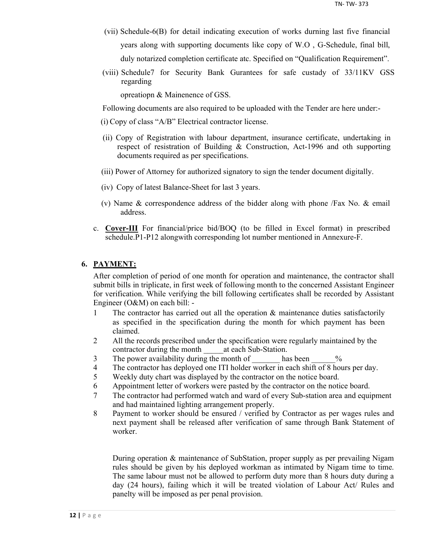- (vii) Schedule-6(B) for detail indicating execution of works durning last five financial years along with supporting documents like copy of W.O , G-Schedule, final bill, duly notarized completion certificate atc. Specified on "Qualification Requirement".
- (viii) Schedule7 for Security Bank Gurantees for safe custady of 33/11KV GSS regarding

opreatiopn & Mainenence of GSS.

Following documents are also required to be uploaded with the Tender are here under:-

- (i) Copy of class "A/B" Electrical contractor license.
- (ii) Copy of Registration with labour department, insurance certificate, undertaking in respect of resistration of Building & Construction, Act-1996 and oth supporting documents required as per specifications.
- (iii) Power of Attorney for authorized signatory to sign the tender document digitally.
- (iv) Copy of latest Balance-Sheet for last 3 years.
- (v) Name & correspondence address of the bidder along with phone /Fax No. & email address.
- c. **Cover-III** For financial/price bid/BOQ (to be filled in Excel format) in prescribed schedule.P1-P12 alongwith corresponding lot number mentioned in Annexure-F.

## **6. PAYMENT:**

After completion of period of one month for operation and maintenance, the contractor shall submit bills in triplicate, in first week of following month to the concerned Assistant Engineer for verification. While verifying the bill following certificates shall be recorded by Assistant Engineer (O&M) on each bill: -

- 1 The contractor has carried out all the operation & maintenance duties satisfactorily as specified in the specification during the month for which payment has been claimed.
- 2 All the records prescribed under the specification were regularly maintained by the contractor during the month at each Sub-Station.
- 3 The power availability during the month of has been  $\%$
- 4 The contractor has deployed one ITI holder worker in each shift of 8 hours per day.
- 5 Weekly duty chart was displayed by the contractor on the notice board.
- 6 Appointment letter of workers were pasted by the contractor on the notice board.
- 7 The contractor had performed watch and ward of every Sub-station area and equipment and had maintained lighting arrangement properly.
- 8 Payment to worker should be ensured / verified by Contractor as per wages rules and next payment shall be released after verification of same through Bank Statement of worker.

During operation & maintenance of SubStation, proper supply as per prevailing Nigam rules should be given by his deployed workman as intimated by Nigam time to time. The same labour must not be allowed to perform duty more than 8 hours duty during a day (24 hours), failing which it will be treated violation of Labour Act/ Rules and panelty will be imposed as per penal provision.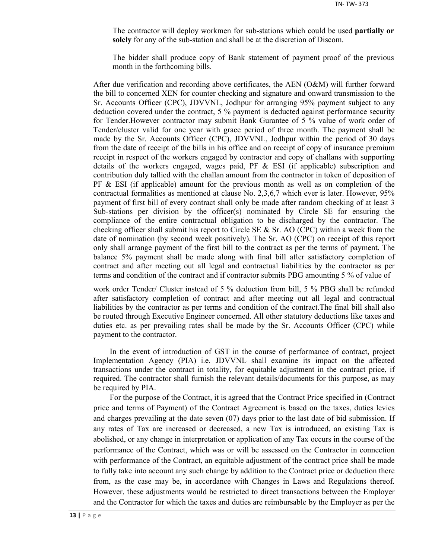The contractor will deploy workmen for sub-stations which could be used **partially or solely** for any of the sub-station and shall be at the discretion of Discom.

The bidder shall produce copy of Bank statement of payment proof of the previous month in the forthcoming bills.

After due verification and recording above certificates, the AEN (O&M) will further forward the bill to concerned XEN for counter checking and signature and onward transmission to the Sr. Accounts Officer (CPC), JDVVNL, Jodhpur for arranging 95% payment subject to any deduction covered under the contract, 5 % payment is deducted against performance security for Tender.However contractor may submit Bank Gurantee of 5 % value of work order of Tender/cluster valid for one year with grace period of three month. The payment shall be made by the Sr. Accounts Officer (CPC), JDVVNL, Jodhpur within the period of 30 days from the date of receipt of the bills in his office and on receipt of copy of insurance premium receipt in respect of the workers engaged by contractor and copy of challans with supporting details of the workers engaged, wages paid, PF  $\&$  ESI (if applicable) subscription and contribution duly tallied with the challan amount from the contractor in token of deposition of  $PF \& ESI$  (if applicable) amount for the previous month as well as on completion of the contractual formalities as mentioned at clause No. 2,3,6,7 which ever is later. However, 95% payment of first bill of every contract shall only be made after random checking of at least 3 Sub-stations per division by the officer(s) nominated by Circle SE for ensuring the compliance of the entire contractual obligation to be discharged by the contractor. The checking officer shall submit his report to Circle SE  $\&$  Sr. AO (CPC) within a week from the date of nomination (by second week positively). The Sr. AO (CPC) on receipt of this report only shall arrange payment of the first bill to the contract as per the terms of payment. The balance 5% payment shall be made along with final bill after satisfactory completion of contract and after meeting out all legal and contractual liabilities by the contractor as per terms and condition of the contract and if contractor submits PBG amounting 5 % of value of

work order Tender/ Cluster instead of 5 % deduction from bill, 5 % PBG shall be refunded after satisfactory completion of contract and after meeting out all legal and contractual liabilities by the contractor as per terms and condition of the contract.The final bill shall also be routed through Executive Engineer concerned. All other statutory deductions like taxes and duties etc. as per prevailing rates shall be made by the Sr. Accounts Officer (CPC) while payment to the contractor.

In the event of introduction of GST in the course of performance of contract, project Implementation Agency (PIA) i.e. JDVVNL shall examine its impact on the affected transactions under the contract in totality, for equitable adjustment in the contract price, if required. The contractor shall furnish the relevant details/documents for this purpose, as may be required by PIA.

For the purpose of the Contract, it is agreed that the Contract Price specified in (Contract price and terms of Payment) of the Contract Agreement is based on the taxes, duties levies and charges prevailing at the date seven (07) days prior to the last date of bid submission. If any rates of Tax are increased or decreased, a new Tax is introduced, an existing Tax is abolished, or any change in interpretation or application of any Tax occurs in the course of the performance of the Contract, which was or will be assessed on the Contractor in connection with performance of the Contract, an equitable adjustment of the contract price shall be made to fully take into account any such change by addition to the Contract price or deduction there from, as the case may be, in accordance with Changes in Laws and Regulations thereof. However, these adjustments would be restricted to direct transactions between the Employer and the Contractor for which the taxes and duties are reimbursable by the Employer as per the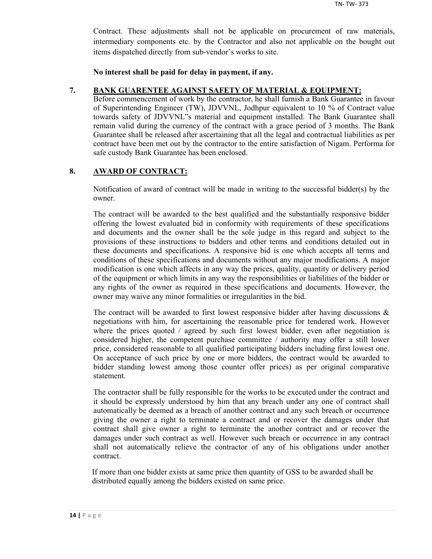Contract. These adjustments shall not be applicable on procurement of raw materials, intermediary components etc. by the Contractor and also not applicable on the bought out items dispatched directly from sub-vendor's works to site.

**No interest shall be paid for delay in payment, if any.**

#### **7. BANK GUARENTEE AGAINST SAFETY OF MATERIAL & EQUIPMENT:**

Before commencement of work by the contractor, he shall furnish a Bank Guarantee in favour of Superintending Engineer (TW), JDVVNL, Jodhpur equivalent to 10 % of Contract value towards safety of JDVVNL"s material and equipment installed. The Bank Guarantee shall remain valid during the currency of the contract with a grace period of 3 months. The Bank Guarantee shall be released after ascertaining that all the legal and contractual liabilities as per contract have been met out by the contractor to the entire satisfaction of Nigam. Performa for safe custody Bank Guarantee has been enclosed.

## **8. AWARD OF CONTRACT:**

Notification of award of contract will be made in writing to the successful bidder(s) by the owner.

The contract will be awarded to the best qualified and the substantially responsive bidder offering the lowest evaluated bid in conformity with requirements of these specifications and documents and the owner shall be the sole judge in this regard and subject to the provisions of these instructions to bidders and other terms and conditions detailed out in these documents and specifications. A responsive bid is one which accepts all terms and conditions of these specifications and documents without any major modifications. A major modification is one which affects in any way the prices, quality, quantity or delivery period of the equipment or which limits in any way the responsibilities or liabilities of the bidder or any rights of the owner as required in these specifications and documents. However, the owner may waive any minor formalities or irregularities in the bid.

The contract will be awarded to first lowest responsive bidder after having discussions  $\&$ negotiations with him, for ascertaining the reasonable price for tendered work. However where the prices quoted / agreed by such first lowest bidder, even after negotiation is considered higher, the competent purchase committee / authority may offer a still lower price, considered reasonable to all qualified participating bidders including first lowest one. On acceptance of such price by one or more bidders, the contract would be awarded to bidder standing lowest among those counter offer prices) as per original comparative statement.

The contractor shall be fully responsible for the works to be executed under the contract and it should be expressly understood by him that any breach under any one of contract shall automatically be deemed as a breach of another contract and any such breach or occurrence giving the owner a right to terminate a contract and or recover the damages under that contract shall give owner a right to terminate the another contract and or recover the damages under such contract as well. However such breach or occurrence in any contract shall not automatically relieve the contractor of any of his obligations under another contract.

If more than one bidder exists at same price then quantity of GSS to be awarded shall be distributed equally among the bidders existed on same price.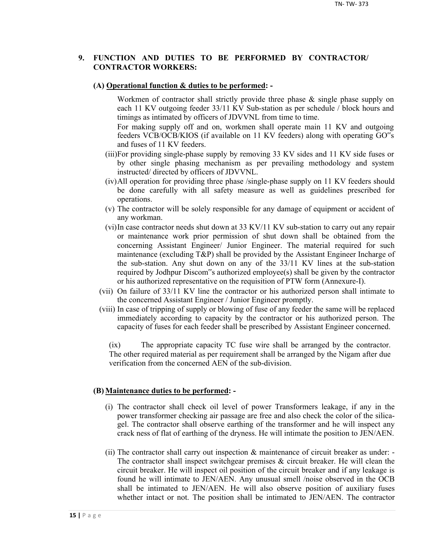## **9. FUNCTION AND DUTIES TO BE PERFORMED BY CONTRACTOR/ CONTRACTOR WORKERS:**

#### **(A) Operational function & duties to be performed: -**

Workmen of contractor shall strictly provide three phase & single phase supply on each 11 KV outgoing feeder 33/11 KV Sub-station as per schedule / block hours and timings as intimated by officers of JDVVNL from time to time.

For making supply off and on, workmen shall operate main 11 KV and outgoing feeders VCB/OCB/KIOS (if available on 11 KV feeders) along with operating GO"s and fuses of 11 KV feeders.

- (iii)For providing single-phase supply by removing 33 KV sides and 11 KV side fuses or by other single phasing mechanism as per prevailing methodology and system instructed/ directed by officers of JDVVNL.
- (iv)All operation for providing three phase /single-phase supply on 11 KV feeders should be done carefully with all safety measure as well as guidelines prescribed for operations.
- (v) The contractor will be solely responsible for any damage of equipment or accident of any workman.
- (vi)In case contractor needs shut down at 33 KV/11 KV sub-station to carry out any repair or maintenance work prior permission of shut down shall be obtained from the concerning Assistant Engineer/ Junior Engineer. The material required for such maintenance (excluding T&P) shall be provided by the Assistant Engineer Incharge of the sub-station. Any shut down on any of the 33/11 KV lines at the sub-station required by Jodhpur Discom"s authorized employee(s) shall be given by the contractor or his authorized representative on the requisition of PTW form (Annexure-I).
- (vii) On failure of 33/11 KV line the contractor or his authorized person shall intimate to the concerned Assistant Engineer / Junior Engineer promptly.
- (viii) In case of tripping of supply or blowing of fuse of any feeder the same will be replaced immediately according to capacity by the contractor or his authorized person. The capacity of fuses for each feeder shall be prescribed by Assistant Engineer concerned.

(ix) The appropriate capacity TC fuse wire shall be arranged by the contractor. The other required material as per requirement shall be arranged by the Nigam after due verification from the concerned AEN of the sub-division.

#### **(B) Maintenance duties to be performed: -**

- (i) The contractor shall check oil level of power Transformers leakage, if any in the power transformer checking air passage are free and also check the color of the silicagel. The contractor shall observe earthing of the transformer and he will inspect any crack ness of flat of earthing of the dryness. He will intimate the position to JEN/AEN.
- (ii) The contractor shall carry out inspection & maintenance of circuit breaker as under: The contractor shall inspect switchgear premises  $\&$  circuit breaker. He will clean the circuit breaker. He will inspect oil position of the circuit breaker and if any leakage is found he will intimate to JEN/AEN. Any unusual smell /noise observed in the OCB shall be intimated to JEN/AEN. He will also observe position of auxiliary fuses whether intact or not. The position shall be intimated to JEN/AEN. The contractor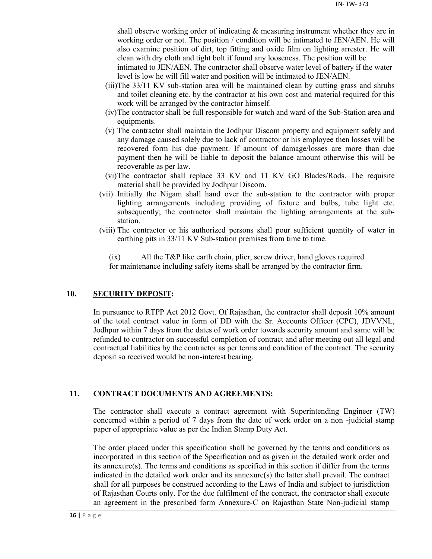shall observe working order of indicating & measuring instrument whether they are in working order or not. The position / condition will be intimated to JEN/AEN. He will also examine position of dirt, top fitting and oxide film on lighting arrester. He will clean with dry cloth and tight bolt if found any looseness. The position will be

intimated to JEN/AEN. The contractor shall observe water level of battery if the water level is low he will fill water and position will be intimated to JEN/AEN.

- (iii)The 33/11 KV sub-station area will be maintained clean by cutting grass and shrubs and toilet cleaning etc. by the contractor at his own cost and material required for this work will be arranged by the contractor himself.
- (iv)The contractor shall be full responsible for watch and ward of the Sub-Station area and equipments.
- (v) The contractor shall maintain the Jodhpur Discom property and equipment safely and any damage caused solely due to lack of contractor or his employee then losses will be recovered form his due payment. If amount of damage/losses are more than due payment then he will be liable to deposit the balance amount otherwise this will be recoverable as per law.
- (vi)The contractor shall replace 33 KV and 11 KV GO Blades/Rods. The requisite material shall be provided by Jodhpur Discom.
- (vii) Initially the Nigam shall hand over the sub-station to the contractor with proper lighting arrangements including providing of fixture and bulbs, tube light etc. subsequently; the contractor shall maintain the lighting arrangements at the substation.
- (viii) The contractor or his authorized persons shall pour sufficient quantity of water in earthing pits in 33/11 KV Sub-station premises from time to time.

(ix) All the T&P like earth chain, plier, screw driver, hand gloves required for maintenance including safety items shall be arranged by the contractor firm.

## **10. SECURITY DEPOSIT:**

In pursuance to RTPP Act 2012 Govt. Of Rajasthan, the contractor shall deposit 10% amount of the total contract value in form of DD with the Sr. Accounts Officer (CPC), JDVVNL, Jodhpur within 7 days from the dates of work order towards security amount and same will be refunded to contractor on successful completion of contract and after meeting out all legal and contractual liabilities by the contractor as per terms and condition of the contract. The security deposit so received would be non-interest bearing.

## **11. CONTRACT DOCUMENTS AND AGREEMENTS:**

The contractor shall execute a contract agreement with Superintending Engineer (TW) concerned within a period of 7 days from the date of work order on a non -judicial stamp paper of appropriate value as per the Indian Stamp Duty Act.

The order placed under this specification shall be governed by the terms and conditions as incorporated in this section of the Specification and as given in the detailed work order and its annexure(s). The terms and conditions as specified in this section if differ from the terms indicated in the detailed work order and its annexure(s) the latter shall prevail. The contract shall for all purposes be construed according to the Laws of India and subject to jurisdiction of Rajasthan Courts only. For the due fulfilment of the contract, the contractor shall execute an agreement in the prescribed form Annexure-C on Rajasthan State Non-judicial stamp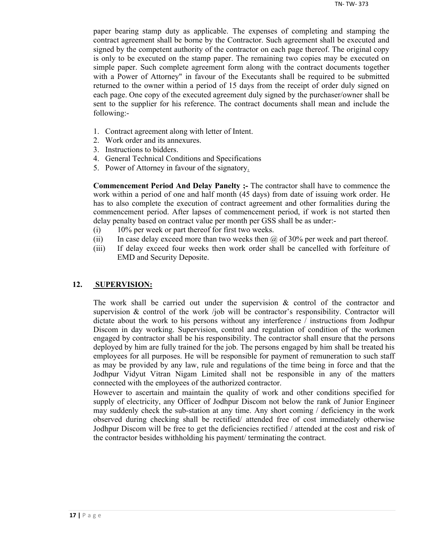paper bearing stamp duty as applicable. The expenses of completing and stamping the contract agreement shall be borne by the Contractor. Such agreement shall be executed and signed by the competent authority of the contractor on each page thereof. The original copy is only to be executed on the stamp paper. The remaining two copies may be executed on simple paper. Such complete agreement form along with the contract documents together with a Power of Attorney" in favour of the Executants shall be required to be submitted returned to the owner within a period of 15 days from the receipt of order duly signed on each page. One copy of the executed agreement duly signed by the purchaser/owner shall be sent to the supplier for his reference. The contract documents shall mean and include the following:-

- 1. Contract agreement along with letter of Intent.
- 2. Work order and its annexures.
- 3. Instructions to bidders.
- 4. General Technical Conditions and Specifications
- 5. Power of Attorney in favour of the signatory.

**Commencement Period And Delay Panelty ;-** The contractor shall have to commence the work within a period of one and half month (45 days) from date of issuing work order. He has to also complete the execution of contract agreement and other formalities during the commencement period. After lapses of commencement period, if work is not started then delay penalty based on contract value per month per GSS shall be as under:-

- (i) 10% per week or part thereof for first two weeks.
- (ii) In case delay exceed more than two weeks then  $\omega$  of 30% per week and part thereof.
- (iii) If delay exceed four weeks then work order shall be cancelled with forfeiture of EMD and Security Deposite.

#### **12. SUPERVISION:**

The work shall be carried out under the supervision  $\&$  control of the contractor and supervision  $\&$  control of the work /job will be contractor's responsibility. Contractor will dictate about the work to his persons without any interference / instructions from Jodhpur Discom in day working. Supervision, control and regulation of condition of the workmen engaged by contractor shall be his responsibility. The contractor shall ensure that the persons deployed by him are fully trained for the job. The persons engaged by him shall be treated his employees for all purposes. He will be responsible for payment of remuneration to such staff as may be provided by any law, rule and regulations of the time being in force and that the Jodhpur Vidyut Vitran Nigam Limited shall not be responsible in any of the matters connected with the employees of the authorized contractor.

However to ascertain and maintain the quality of work and other conditions specified for supply of electricity, any Officer of Jodhpur Discom not below the rank of Junior Engineer may suddenly check the sub-station at any time. Any short coming / deficiency in the work observed during checking shall be rectified/ attended free of cost immediately otherwise Jodhpur Discom will be free to get the deficiencies rectified / attended at the cost and risk of the contractor besides withholding his payment/ terminating the contract.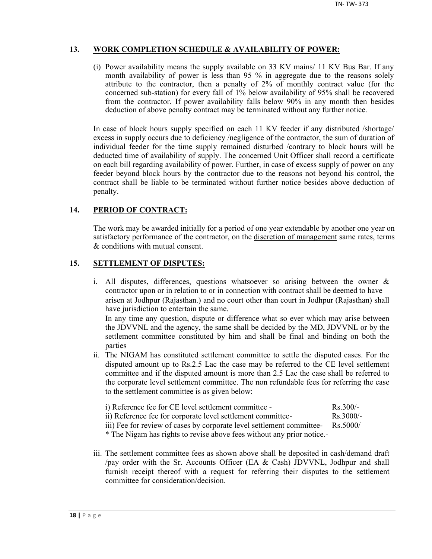## **13. WORK COMPLETION SCHEDULE & AVAILABILITY OF POWER:**

(i) Power availability means the supply available on 33 KV mains/ 11 KV Bus Bar. If any month availability of power is less than 95 % in aggregate due to the reasons solely attribute to the contractor, then a penalty of 2% of monthly contract value (for the concerned sub-station) for every fall of 1% below availability of 95% shall be recovered from the contractor. If power availability falls below 90% in any month then besides deduction of above penalty contract may be terminated without any further notice.

In case of block hours supply specified on each 11 KV feeder if any distributed /shortage/ excess in supply occurs due to deficiency /negligence of the contractor, the sum of duration of individual feeder for the time supply remained disturbed /contrary to block hours will be deducted time of availability of supply. The concerned Unit Officer shall record a certificate on each bill regarding availability of power. Further, in case of excess supply of power on any feeder beyond block hours by the contractor due to the reasons not beyond his control, the contract shall be liable to be terminated without further notice besides above deduction of penalty.

## **14. PERIOD OF CONTRACT:**

The work may be awarded initially for a period of <u>one year</u> extendable by another one year on satisfactory performance of the contractor, on the discretion of management same rates, terms & conditions with mutual consent.

## **15. SETTLEMENT OF DISPUTES:**

- i. All disputes, differences, questions whatsoever so arising between the owner & contractor upon or in relation to or in connection with contract shall be deemed to have arisen at Jodhpur (Rajasthan.) and no court other than court in Jodhpur (Rajasthan) shall have jurisdiction to entertain the same. In any time any question, dispute or difference what so ever which may arise between the JDVVNL and the agency, the same shall be decided by the MD, JDVVNL or by the settlement committee constituted by him and shall be final and binding on both the parties
- ii. The NIGAM has constituted settlement committee to settle the disputed cases. For the disputed amount up to Rs.2.5 Lac the case may be referred to the CE level settlement committee and if the disputed amount is more than 2.5 Lac the case shall be referred to the corporate level settlement committee. The non refundable fees for referring the case to the settlement committee is as given below:

| i) Reference fee for CE level settlement committee -        | $Rs$ 300/-          |
|-------------------------------------------------------------|---------------------|
| ii) Reference fee for corporate level settlement committee- | $\text{Rs } 3000/-$ |

iii) Fee for review of cases by corporate level settlement committee- Rs.5000/

\* The Nigam has rights to revise above fees without any prior notice.-

iii. The settlement committee fees as shown above shall be deposited in cash/demand draft /pay order with the Sr. Accounts Officer (EA & Cash) JDVVNL, Jodhpur and shall furnish receipt thereof with a request for referring their disputes to the settlement committee for consideration/decision.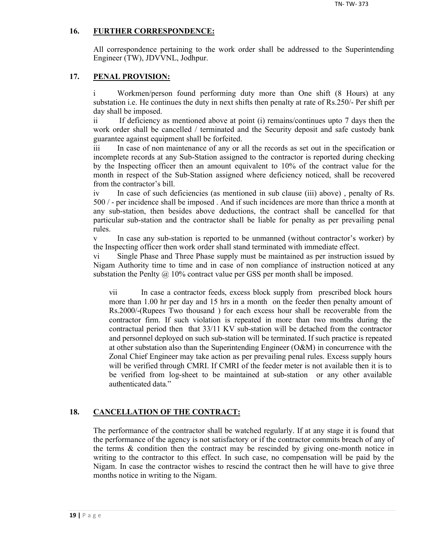## **16. FURTHER CORRESPONDENCE:**

All correspondence pertaining to the work order shall be addressed to the Superintending Engineer (TW), JDVVNL, Jodhpur.

## **17. PENAL PROVISION:**

i Workmen/person found performing duty more than One shift (8 Hours) at any substation i.e. He continues the duty in next shifts then penalty at rate of Rs.250/- Per shift per day shall be imposed.

ii If deficiency as mentioned above at point (i) remains/continues upto 7 days then the work order shall be cancelled / terminated and the Security deposit and safe custody bank guarantee against equipment shall be forfeited.

iii In case of non maintenance of any or all the records as set out in the specification or incomplete records at any Sub-Station assigned to the contractor is reported during checking by the Inspecting officer then an amount equivalent to 10% of the contract value for the month in respect of the Sub-Station assigned where deficiency noticed, shall be recovered from the contractor's bill.

iv In case of such deficiencies (as mentioned in sub clause (iii) above) , penalty of Rs. 500 / - per incidence shall be imposed . And if such incidences are more than thrice a month at any sub-station, then besides above deductions, the contract shall be cancelled for that particular sub-station and the contractor shall be liable for penalty as per prevailing penal rules.

v In case any sub-station is reported to be unmanned (without contractor's worker) by the Inspecting officer then work order shall stand terminated with immediate effect.

vi Single Phase and Three Phase supply must be maintained as per instruction issued by Nigam Authority time to time and in case of non compliance of instruction noticed at any substation the Penlty  $\omega$  10% contract value per GSS per month shall be imposed.

vii In case a contractor feeds, excess block supply from prescribed block hours more than 1.00 hr per day and 15 hrs in a month on the feeder then penalty amount of Rs.2000/-(Rupees Two thousand ) for each excess hour shall be recoverable from the contractor firm. If such violation is repeated in more than two months during the contractual period then that 33/11 KV sub-station will be detached from the contractor and personnel deployed on such sub-station will be terminated. If such practice is repeated at other substation also than the Superintending Engineer (O&M) in concurrence with the Zonal Chief Engineer may take action as per prevailing penal rules. Excess supply hours will be verified through CMRI. If CMRI of the feeder meter is not available then it is to be verified from log-sheet to be maintained at sub-station or any other available authenticated data."

## **18. CANCELLATION OF THE CONTRACT:**

The performance of the contractor shall be watched regularly. If at any stage it is found that the performance of the agency is not satisfactory or if the contractor commits breach of any of the terms  $\&$  condition then the contract may be rescinded by giving one-month notice in writing to the contractor to this effect. In such case, no compensation will be paid by the Nigam. In case the contractor wishes to rescind the contract then he will have to give three months notice in writing to the Nigam.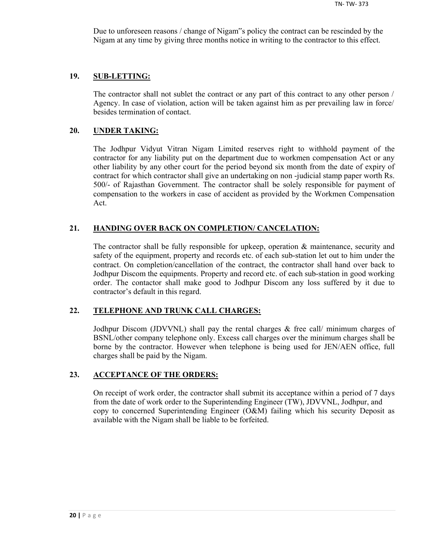Due to unforeseen reasons / change of Nigam"s policy the contract can be rescinded by the Nigam at any time by giving three months notice in writing to the contractor to this effect.

#### **19. SUB-LETTING:**

The contractor shall not sublet the contract or any part of this contract to any other person / Agency. In case of violation, action will be taken against him as per prevailing law in force/ besides termination of contact.

#### **20. UNDER TAKING:**

The Jodhpur Vidyut Vitran Nigam Limited reserves right to withhold payment of the contractor for any liability put on the department due to workmen compensation Act or any other liability by any other court for the period beyond six month from the date of expiry of contract for which contractor shall give an undertaking on non -judicial stamp paper worth Rs. 500/- of Rajasthan Government. The contractor shall be solely responsible for payment of compensation to the workers in case of accident as provided by the Workmen Compensation Act.

## **21. HANDING OVER BACK ON COMPLETION/ CANCELATION:**

The contractor shall be fully responsible for upkeep, operation & maintenance, security and safety of the equipment, property and records etc. of each sub-station let out to him under the contract. On completion/cancellation of the contract, the contractor shall hand over back to Jodhpur Discom the equipments. Property and record etc. of each sub-station in good working order. The contactor shall make good to Jodhpur Discom any loss suffered by it due to contractor's default in this regard.

## **22. TELEPHONE AND TRUNK CALL CHARGES:**

Jodhpur Discom (JDVVNL) shall pay the rental charges & free call/ minimum charges of BSNL/other company telephone only. Excess call charges over the minimum charges shall be borne by the contractor. However when telephone is being used for JEN/AEN office, full charges shall be paid by the Nigam.

#### **23. ACCEPTANCE OF THE ORDERS:**

On receipt of work order, the contractor shall submit its acceptance within a period of 7 days from the date of work order to the Superintending Engineer (TW), JDVVNL, Jodhpur, and copy to concerned Superintending Engineer (O&M) failing which his security Deposit as available with the Nigam shall be liable to be forfeited.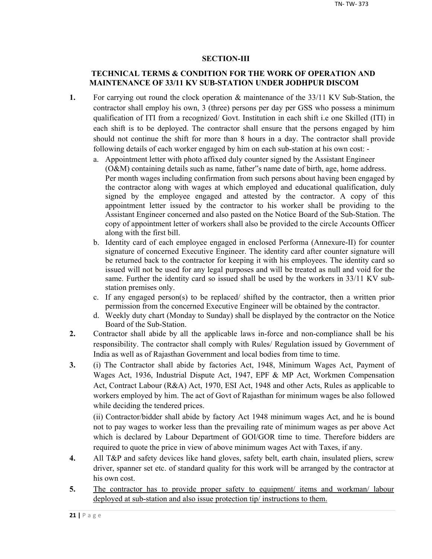## **SECTION-III**

## **TECHNICAL TERMS & CONDITION FOR THE WORK OF OPERATION AND MAINTENANCE OF 33/11 KV SUB-STATION UNDER JODHPUR DISCOM**

- **1.** For carrying out round the clock operation & maintenance of the 33/11 KV Sub-Station, the contractor shall employ his own, 3 (three) persons per day per GSS who possess a minimum qualification of ITI from a recognized/ Govt. Institution in each shift i.e one Skilled (ITI) in each shift is to be deployed. The contractor shall ensure that the persons engaged by him should not continue the shift for more than 8 hours in a day. The contractor shall provide following details of each worker engaged by him on each sub-station at his own cost:
	- a. Appointment letter with photo affixed duly counter signed by the Assistant Engineer (O&M) containing details such as name, father"s name date of birth, age, home address. Per month wages including confirmation from such persons about having been engaged by the contractor along with wages at which employed and educational qualification, duly signed by the employee engaged and attested by the contractor. A copy of this appointment letter issued by the contractor to his worker shall be providing to the Assistant Engineer concerned and also pasted on the Notice Board of the Sub-Station. The copy of appointment letter of workers shall also be provided to the circle Accounts Officer along with the first bill.
	- b. Identity card of each employee engaged in enclosed Performa (Annexure-II) for counter signature of concerned Executive Engineer. The identity card after counter signature will be returned back to the contractor for keeping it with his employees. The identity card so issued will not be used for any legal purposes and will be treated as null and void for the same. Further the identity card so issued shall be used by the workers in 33/11 KV substation premises only.
	- c. If any engaged person(s) to be replaced/ shifted by the contractor, then a written prior permission from the concerned Executive Engineer will be obtained by the contractor.
	- d. Weekly duty chart (Monday to Sunday) shall be displayed by the contractor on the Notice Board of the Sub-Station.
- **2.** Contractor shall abide by all the applicable laws in-force and non-compliance shall be his responsibility. The contractor shall comply with Rules/ Regulation issued by Government of India as well as of Rajasthan Government and local bodies from time to time.
- **3.** (i) The Contractor shall abide by factories Act, 1948, Minimum Wages Act, Payment of Wages Act, 1936, Industrial Dispute Act, 1947, EPF & MP Act, Workmen Compensation Act, Contract Labour (R&A) Act, 1970, ESI Act, 1948 and other Acts, Rules as applicable to workers employed by him. The act of Govt of Rajasthan for minimum wages be also followed while deciding the tendered prices.

(ii) Contractor/bidder shall abide by factory Act 1948 minimum wages Act, and he is bound not to pay wages to worker less than the prevailing rate of minimum wages as per above Act which is declared by Labour Department of GOI/GOR time to time. Therefore bidders are required to quote the price in view of above minimum wages Act with Taxes, if any.

- **4.** All T&P and safety devices like hand gloves, safety belt, earth chain, insulated pliers, screw driver, spanner set etc. of standard quality for this work will be arranged by the contractor at his own cost.
- 5. The contractor has to provide proper safety to equipment/ items and workman/ labour deployed at sub-station and also issue protection tip/ instructions to them.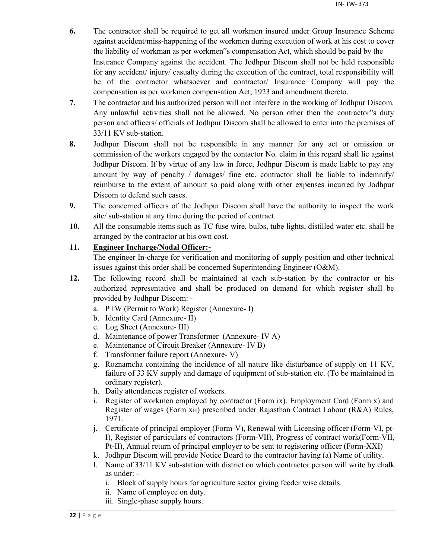- **6.** The contractor shall be required to get all workmen insured under Group Insurance Scheme against accident/miss-happening of the workmen during execution of work at his cost to cover the liability of workman as per workmen"s compensation Act, which should be paid by the Insurance Company against the accident. The Jodhpur Discom shall not be held responsible for any accident/ injury/ casualty during the execution of the contract, total responsibility will be of the contractor whatsoever and contractor/ Insurance Company will pay the compensation as per workmen compensation Act, 1923 and amendment thereto.
- **7.** The contractor and his authorized person will not interfere in the working of Jodhpur Discom. Any unlawful activities shall not be allowed. No person other then the contractor"s duty person and officers/ officials of Jodhpur Discom shall be allowed to enter into the premises of 33/11 KV sub-station.
- **8.** Jodhpur Discom shall not be responsible in any manner for any act or omission or commission of the workers engaged by the contactor No. claim in this regard shall lie against Jodhpur Discom. If by virtue of any law in force, Jodhpur Discom is made liable to pay any amount by way of penalty / damages/ fine etc. contractor shall be liable to indemnify/ reimburse to the extent of amount so paid along with other expenses incurred by Jodhpur Discom to defend such cases.
- **9.** The concerned officers of the Jodhpur Discom shall have the authority to inspect the work site/ sub-station at any time during the period of contract.
- **10.** All the consumable items such as TC fuse wire, bulbs, tube lights, distilled water etc. shall be arranged by the contractor at his own cost.

## **11. Engineer Incharge/Nodal Officer:-**

The engineer In-charge for verification and monitoring of supply position and other technical issues against this order shall be concerned Superintending Engineer (O&M).

- **12.** The following record shall be maintained at each sub-station by the contractor or his authorized representative and shall be produced on demand for which register shall be provided by Jodhpur Discom:
	- a. PTW (Permit to Work) Register (Annexure- I)
	- b. Identity Card (Annexure- II)
	- c. Log Sheet (Annexure- III)
	- d. Maintenance of power Transformer (Annexure- IV A)
	- e. Maintenance of Circuit Breaker (Annexure- IV B)
	- f. Transformer failure report (Annexure- V)
	- g. Roznamcha containing the incidence of all nature like disturbance of supply on 11 KV, failure of 33 KV supply and damage of equipment of sub-station etc. (To be maintained in ordinary register).
	- h. Daily attendances register of workers.
	- i. Register of workmen employed by contractor (Form ix). Employment Card (Form x) and Register of wages (Form xii) prescribed under Rajasthan Contract Labour (R&A) Rules, 1971.
	- j. Certificate of principal employer (Form-V), Renewal with Licensing officer (Form-VI, pt-I), Register of particulars of contractors (Form-VII), Progress of contract work(Form-VII, Pt-II), Annual return of principal employer to be sent to registering officer (Form-XXI)
	- k. Jodhpur Discom will provide Notice Board to the contractor having (a) Name of utility.
	- l. Name of 33/11 KV sub-station with district on which contractor person will write by chalk as under:
		- i. Block of supply hours for agriculture sector giving feeder wise details.
		- ii. Name of employee on duty.
		- iii. Single-phase supply hours.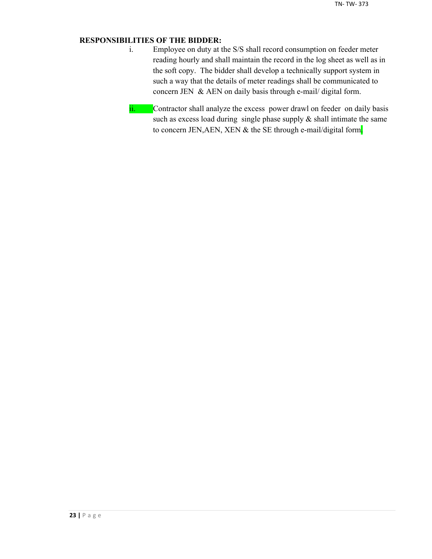## **RESPONSIBILITIES OF THE BIDDER:**

- i. Employee on duty at the S/S shall record consumption on feeder meter reading hourly and shall maintain the record in the log sheet as well as in the soft copy. The bidder shall develop a technically support system in such a way that the details of meter readings shall be communicated to concern JEN & AEN on daily basis through e-mail/ digital form.
- ii. Contractor shall analyze the excess power drawl on feeder on daily basis such as excess load during single phase supply  $\&$  shall intimate the same to concern JEN, AEN, XEN & the SE through e-mail/digital form.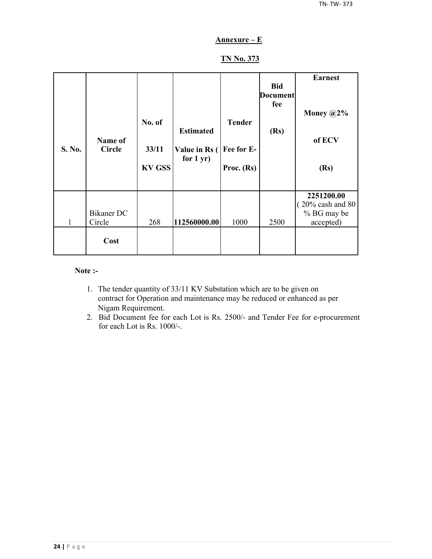## **Annexure – E**

## **TN No. 373**

| S. No. | Name of<br><b>Circle</b> | No. of<br>33/11<br><b>KV GSS</b> | <b>Estimated</b><br>Value in Rs (<br>for $1 yr$ ) | <b>Tender</b><br>Fee for E-<br>Proc. (Rs) | <b>Bid</b><br><b>Document</b><br>fee<br>(Rs) | <b>Earnest</b><br>Money $@2\%$<br>of ECV<br>(Rs)                        |
|--------|--------------------------|----------------------------------|---------------------------------------------------|-------------------------------------------|----------------------------------------------|-------------------------------------------------------------------------|
| 1      | Bikaner DC<br>Circle     | 268                              | 112560000.00                                      | 1000                                      | 2500                                         | 2251200.00<br>$(20\% \text{ cash and } 80)$<br>% BG may be<br>accepted) |
|        | Cost                     |                                  |                                                   |                                           |                                              |                                                                         |

#### **Note :-**

- 1. The tender quantity of 33/11 KV Substation which are to be given on contract for Operation and maintenance may be reduced or enhanced as per Nigam Requirement.
- 2. Bid Document fee for each Lot is Rs. 2500/- and Tender Fee for e-procurement for each Lot is Rs. 1000/-.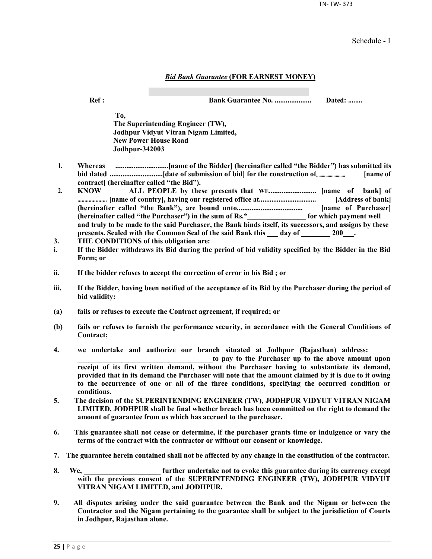TN- TW- 373

Schedule - I

#### *Bid Bank Guarantee* **(FOR EARNEST MONEY)**

**Ref : Bank Guarantee No. .................... Dated: ........**

**To, The Superintending Engineer (TW), Jodhpur Vidyut Vitran Nigam Limited, New Power House Road Jodhpur-342003**

- **1. Whereas .............................[name of the Bidder] (hereinafter called "the Bidder") has submitted its bid dated .............................[date of submission of bid] for the construction of......................... [name of contract] (hereinafter called "the Bid").**
- **2. KNOW ALL PEOPLE by these presents that WE.......................... [name of bank] of ..................... [name of country], having our registered office at................................ [Address of bank] (hereinafter called "the Bank"), are bound unto.................................... [name of Purchaser] (hereinafter called "the Purchaser") in the sum of Rs.\*\_\_\_\_\_\_\_\_\_\_\_\_\_\_\_\_ for which payment well and truly to be made to the said Purchaser, the Bank binds itself, its successors, and assigns by these**  presents. Sealed with the Common Seal of the said Bank this \_\_\_ day of \_\_\_\_\_\_\_ 200\_\_\_.
- **3. THE CONDITIONS of this obligation are:**
- **i. If the Bidder withdraws its Bid during the period of bid validity specified by the Bidder in the Bid Form; or**
- **ii. If the bidder refuses to accept the correction of error in his Bid ; or**
- **iii. If the Bidder, having been notified of the acceptance of its Bid by the Purchaser during the period of bid validity:**
- **(a) fails or refuses to execute the Contract agreement, if required; or**
- **(b) fails or refuses to furnish the performance security, in accordance with the General Conditions of Contract;**
- **4. we undertake and authorize our branch situated at Jodhpur (Rajasthan) address:**

to pay to the Purchaser up to the above amount upon **receipt of its first written demand, without the Purchaser having to substantiate its demand, provided that in its demand the Purchaser will note that the amount claimed by it is due to it owing to the occurrence of one or all of the three conditions, specifying the occurred condition or conditions.**

- **5. The decision of the SUPERINTENDING ENGINEER (TW), JODHPUR VIDYUT VITRAN NIGAM LIMITED, JODHPUR shall be final whether breach has been committed on the right to demand the amount of guarantee from us which has accrued to the purchaser.**
- **6. This guarantee shall not cease or determine, if the purchaser grants time or indulgence or vary the terms of the contract with the contractor or without our consent or knowledge.**
- **7. The guarantee herein contained shall not be affected by any change in the constitution of the contractor.**
- **8. We, \_\_\_\_\_\_\_\_\_\_\_\_\_\_\_\_\_\_\_\_\_ further undertake not to evoke this guarantee during its currency except with the previous consent of the SUPERINTENDING ENGINEER (TW), JODHPUR VIDYUT VITRAN NIGAM LIMITED, and JODHPUR.**
- **9. All disputes arising under the said guarantee between the Bank and the Nigam or between the Contractor and the Nigam pertaining to the guarantee shall be subject to the jurisdiction of Courts in Jodhpur, Rajasthan alone.**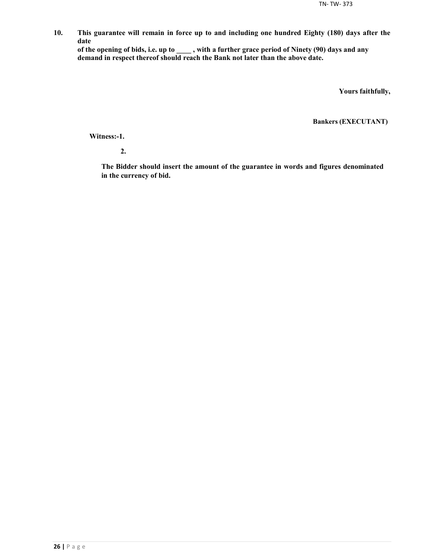**10. This guarantee will remain in force up to and including one hundred Eighty (180) days after the date**

**of the opening of bids, i.e. up to \_\_\_\_ , with a further grace period of Ninety (90) days and any demand in respect thereof should reach the Bank not later than the above date.**

**Yours faithfully,**

**Bankers (EXECUTANT)**

**Witness:-1.**

**2.**

**The Bidder should insert the amount of the guarantee in words and figures denominated in the currency of bid.**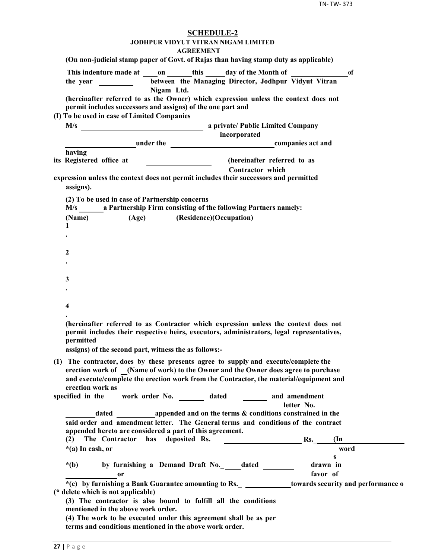| <b>SCHEDULE-2</b>                                                                                                                                                                                                                                                                      |
|----------------------------------------------------------------------------------------------------------------------------------------------------------------------------------------------------------------------------------------------------------------------------------------|
| <b>JODHPUR VIDYUT VITRAN NIGAM LIMITED</b><br><b>AGREEMENT</b>                                                                                                                                                                                                                         |
| (On non-judicial stamp paper of Govt. of Rajas than having stamp duty as applicable)                                                                                                                                                                                                   |
| This indenture made at on this day of the Month of<br><sub>of</sub>                                                                                                                                                                                                                    |
| between the Managing Director, Jodhpur Vidyut Vitran<br>Nigam Ltd.                                                                                                                                                                                                                     |
| (hereinafter referred to as the Owner) which expression unless the context does not<br>permit includes successors and assigns) of the one part and                                                                                                                                     |
| (I) To be used in case of Limited Companies                                                                                                                                                                                                                                            |
| incorporated                                                                                                                                                                                                                                                                           |
| <b>Example 2</b> under the <b>companies</b> act and                                                                                                                                                                                                                                    |
| having                                                                                                                                                                                                                                                                                 |
| (hereinafter referred to as<br>its Registered office at                                                                                                                                                                                                                                |
| <b>Contractor</b> which<br>expression unless the context does not permit includes their successors and permitted                                                                                                                                                                       |
| assigns).                                                                                                                                                                                                                                                                              |
| (2) To be used in case of Partnership concerns<br>M/s ________ a Partnership Firm consisting of the following Partners namely:                                                                                                                                                         |
| (Age) (Residence)(Occupation)<br>(Name)                                                                                                                                                                                                                                                |
| 1                                                                                                                                                                                                                                                                                      |
|                                                                                                                                                                                                                                                                                        |
| 2                                                                                                                                                                                                                                                                                      |
|                                                                                                                                                                                                                                                                                        |
|                                                                                                                                                                                                                                                                                        |
| 3                                                                                                                                                                                                                                                                                      |
|                                                                                                                                                                                                                                                                                        |
|                                                                                                                                                                                                                                                                                        |
| 4                                                                                                                                                                                                                                                                                      |
| (hereinafter referred to as Contractor which expression unless the context does not<br>permit includes their respective heirs, executors, administrators, legal representatives,<br>nermitted                                                                                          |
| assigns) of the second part, witness the as follows:-                                                                                                                                                                                                                                  |
| (1) The contractor, does by these presents agree to supply and execute/complete the<br>erection work of (Name of work) to the Owner and the Owner does agree to purchase<br>and execute/complete the erection work from the Contractor, the material/equipment and<br>erection work as |
| work order No. _________ dated _________ and amendment<br>specified in the                                                                                                                                                                                                             |
| letter No.                                                                                                                                                                                                                                                                             |
| dated appended and on the terms & conditions constrained in the                                                                                                                                                                                                                        |
| said order and amendment letter. The General terms and conditions of the contract<br>appended hereto are considered a part of this agreement.                                                                                                                                          |
| has deposited Rs.<br>Rs.<br>(2)<br>The Contractor<br>$(\text{In})$                                                                                                                                                                                                                     |
| word<br>$*(a)$ In cash, or                                                                                                                                                                                                                                                             |
| s                                                                                                                                                                                                                                                                                      |
| by furnishing a Demand Draft No._outled<br>drawn in<br>$*(b)$                                                                                                                                                                                                                          |
| favor of<br>0r                                                                                                                                                                                                                                                                         |
| *(c) by furnishing a Bank Guarantee amounting to Rs. _ _____________towards security and performance o<br>(* delete which is not applicable)                                                                                                                                           |
| (3) The contractor is also bound to fulfill all the conditions<br>mentioned in the above work order.                                                                                                                                                                                   |
| (4) The work to be executed under this agreement shall be as per<br>terms and conditions mentioned in the above work order.                                                                                                                                                            |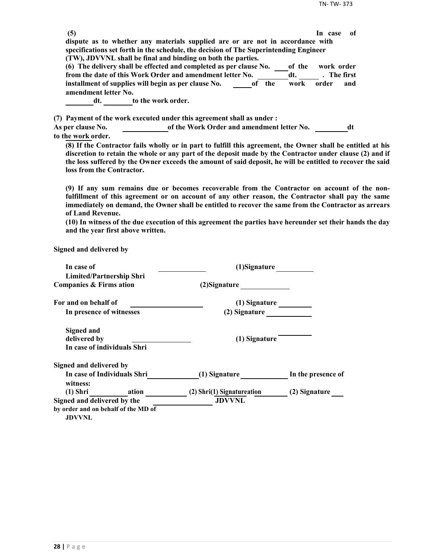| (5)                      |                                                                                                             | -of<br>In case |
|--------------------------|-------------------------------------------------------------------------------------------------------------|----------------|
|                          | dispute as to whether any materials supplied are or are not in accordance with                              |                |
|                          | specifications set forth in the schedule, the decision of The Superintending Engineer                       |                |
|                          | (TW), JDVVNL shall be final and binding on both the parties.                                                |                |
|                          | (6) The delivery shall be effected and completed as per clause No.<br>of the                                | work order     |
|                          | from the date of this Work Order and amendment letter No.<br>dt.                                            | . The first    |
|                          | installment of supplies will begin as per clause No.<br>of the<br>work                                      | order<br>and   |
| amendment letter No.     |                                                                                                             |                |
| dt.                      | to the work order.                                                                                          |                |
|                          | (7) Payment of the work executed under this agreement shall as under :                                      |                |
| <b>As per clause No.</b> | of the Work Order and amendment letter No.                                                                  | dt             |
| to the work order.       |                                                                                                             |                |
|                          | (8) If the Contractor fails wholly or in part to fulfill this agreement, the Owner shall be entitled at his |                |

**discretion to retain the whole or any part of the deposit made by the Contractor under clause (2) and if the loss suffered by the Owner exceeds the amount of said deposit, he will be entitled to recover the said loss from the Contractor.**

**(9) If any sum remains due or becomes recoverable from the Contractor on account of the nonfulfillment of this agreement or on account of any other reason, the Contractor shall pay the same immediately on demand, the Owner shall be entitled to recover the same from the Contractor as arrears of Land Revenue.**

**(10) In witness of the due execution of this agreement the parties have hereunder set their hands the day and the year first above written.**

**Signed and delivered by**

| In case of                              | (1)Signature               |                    |
|-----------------------------------------|----------------------------|--------------------|
| <b>Limited/Partnership Shri</b>         |                            |                    |
| <b>Companies &amp; Firms ation</b>      | (2) Signature              |                    |
| For and on behalf of                    | (1) Signature              |                    |
| In presence of witnesses                | (2) Signature              |                    |
| <b>Signed and</b>                       |                            |                    |
| delivered by                            | (1) Signature              |                    |
| In case of individuals Shri             |                            |                    |
| Signed and delivered by                 |                            |                    |
| In case of Individuals Shri<br>witness: | (1) Signature              | In the presence of |
| (1) Shri ation                          | (2) Shri(1) Signatureation | (2) Signature      |
| Signed and delivered by the             | <b>JDVVNL</b>              |                    |
| by order and on behalf of the MD of     |                            |                    |
| <b>JDVVNL</b>                           |                            |                    |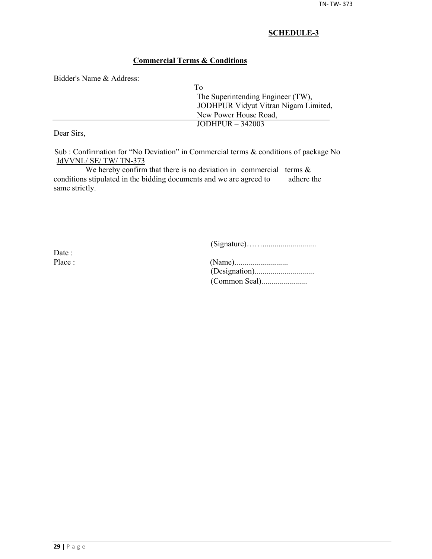## **Commercial Terms & Conditions**

Bidder's Name & Address:

| Tο                                   |  |
|--------------------------------------|--|
| The Superintending Engineer (TW),    |  |
| JODHPUR Vidyut Vitran Nigam Limited, |  |
| New Power House Road,                |  |
| JODHPUR $-342003$                    |  |
|                                      |  |

Dear Sirs,

Sub : Confirmation for "No Deviation" in Commercial terms & conditions of package No JdVVNL/ SE/ TW/ TN-373

We hereby confirm that there is no deviation in commercial terms  $\&$ conditions stipulated in the bidding documents and we are agreed to adhere the same strictly.

(Signature)……...........................

Date :

| Place : |  |
|---------|--|
|         |  |
|         |  |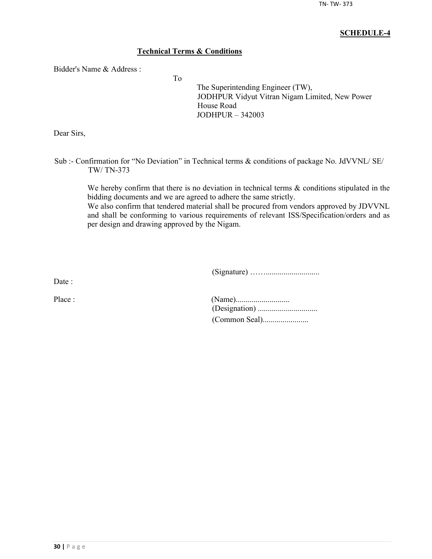## **Technical Terms & Conditions**

To

Bidder's Name & Address :

The Superintending Engineer (TW), JODHPUR Vidyut Vitran Nigam Limited, New Power House Road JODHPUR – 342003

Dear Sirs,

Sub :- Confirmation for "No Deviation" in Technical terms & conditions of package No. JdVVNL/ SE/ TW/ TN-373

We hereby confirm that there is no deviation in technical terms  $\&$  conditions stipulated in the bidding documents and we are agreed to adhere the same strictly.

We also confirm that tendered material shall be procured from vendors approved by JDVVNL and shall be conforming to various requirements of relevant ISS/Specification/orders and as per design and drawing approved by the Nigam.

(Signature) ……...........................

Date :

| Place : |  |
|---------|--|
|         |  |
|         |  |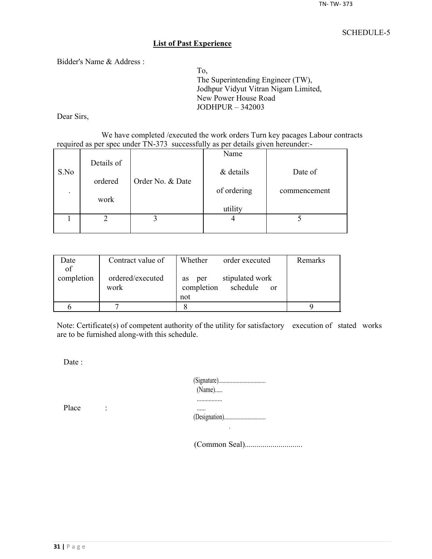#### **List of Past Experience**

Bidder's Name & Address :

To, The Superintending Engineer (TW), Jodhpur Vidyut Vitran Nigam Limited, New Power House Road JODHPUR – 342003

Dear Sirs,

We have completed /executed the work orders Turn key pacages Labour contracts required as per spec under TN-373 successfully as per details given hereunder:-

|                          |            |                  | Name        |              |
|--------------------------|------------|------------------|-------------|--------------|
| S.No                     | Details of |                  | & details   | Date of      |
|                          | ordered    | Order No. & Date |             |              |
| $\overline{\phantom{a}}$ |            |                  | of ordering | commencement |
|                          | work       |                  | utility     |              |
|                          |            |                  |             |              |
|                          |            |                  |             |              |

| Date       | Contract value of        | Whether<br>order executed                                     | Remarks |
|------------|--------------------------|---------------------------------------------------------------|---------|
| of         |                          |                                                               |         |
| completion | ordered/executed<br>work | stipulated work<br>per<br><b>as</b><br>completion<br>schedule |         |
|            |                          | <sub>or</sub><br>not                                          |         |
|            |                          |                                                               |         |
|            |                          |                                                               |         |

Note: Certificate(s) of competent authority of the utility for satisfactory execution of stated works are to be furnished along-with this schedule.

Date :

| $(Name)$ |
|----------|
|          |
|          |

Place :

(Common Seal).............................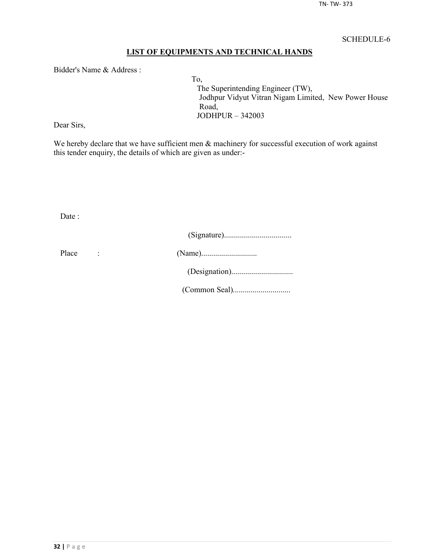## **LIST OF EQUIPMENTS AND TECHNICAL HANDS**

Bidder's Name & Address :

To, The Superintending Engineer (TW), Jodhpur Vidyut Vitran Nigam Limited, New Power House Road, JODHPUR – 342003

Dear Sirs,

We hereby declare that we have sufficient men  $\&$  machinery for successful execution of work against this tender enquiry, the details of which are given as under:-

Date :

| Place |  |
|-------|--|
|       |  |
|       |  |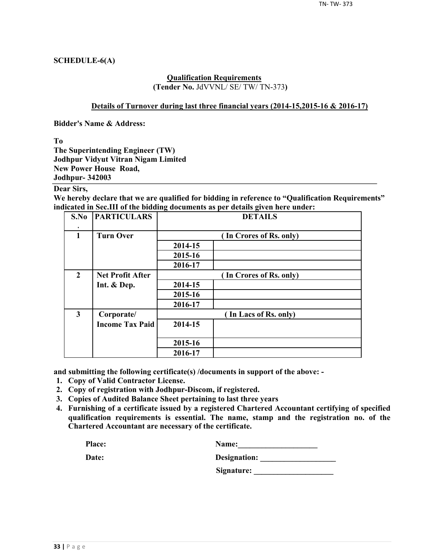## **SCHEDULE-6(A)**

#### **Qualification Requirements (Tender No.** JdVVNL/ SE/ TW/ TN-373**)**

#### **Details of Turnover during last three financial years (2014-15,2015-16 & 2016-17)**

**Bidder's Name & Address:**

**To**

**The Superintending Engineer (TW) Jodhpur Vidyut Vitran Nigam Limited New Power House Road, Jodhpur- 342003**

## **Dear Sirs,**

**We hereby declare that we are qualified for bidding in reference to "Qualification Requirements" indicated in Sec.III of the bidding documents as per details given here under:**

| S.No                    | <b>PARTICULARS</b>      | <b>DETAILS</b> |                         |  |  |  |  |
|-------------------------|-------------------------|----------------|-------------------------|--|--|--|--|
| $\mathbf{1}$            | <b>Turn Over</b>        |                | (In Crores of Rs. only) |  |  |  |  |
|                         |                         | 2014-15        |                         |  |  |  |  |
|                         |                         | 2015-16        |                         |  |  |  |  |
|                         |                         | 2016-17        |                         |  |  |  |  |
| $\overline{2}$          | <b>Net Profit After</b> |                | (In Crores of Rs. only) |  |  |  |  |
|                         | Int. & Dep.             | 2014-15        |                         |  |  |  |  |
|                         |                         | 2015-16        |                         |  |  |  |  |
|                         |                         | 2016-17        |                         |  |  |  |  |
| $\overline{\mathbf{3}}$ | Corporate/              |                | (In Lacs of Rs. only)   |  |  |  |  |
|                         | <b>Income Tax Paid</b>  | 2014-15        |                         |  |  |  |  |
|                         |                         | 2015-16        |                         |  |  |  |  |
|                         |                         | 2016-17        |                         |  |  |  |  |

**and submitting the following certificate(s) /documents in support of the above: -**

- **1. Copy of Valid Contractor License.**
- **2. Copy of registration with Jodhpur-Discom, if registered.**
- **3. Copies of Audited Balance Sheet pertaining to last three years**
- **4. Furnishing of a certificate issued by a registered Chartered Accountant certifying of specified qualification requirements is essential. The name, stamp and the registration no. of the Chartered Accountant are necessary of the certificate.**

| Place: | <b>Name:</b> |
|--------|--------------|
|        |              |

| Date: | Designation: |
|-------|--------------|
|       |              |

**Signature: \_\_\_\_\_\_\_\_\_\_\_\_\_\_\_\_\_\_\_\_**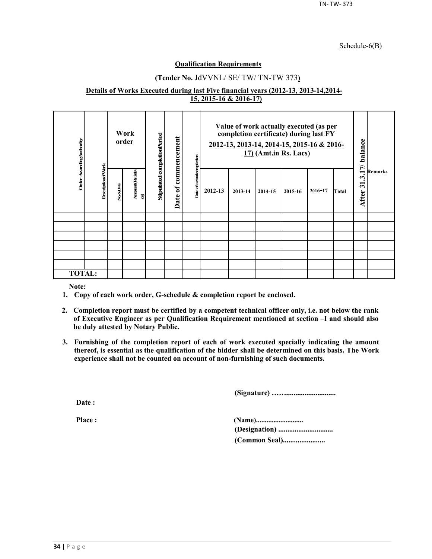#### Schedule-6(B)

#### **Qualification Requirements**

## **(Tender No.** JdVVNL/ SE/ TW/ TN-TW 373**)**

#### **Details of Works Executed during last Five financial years (2012-13, 2013-14,2014- 15, 2015-16 & 2016-17)**

| Order Awarding Authority |                          |          | Work<br>order        | Stipulated completionPeriod | commencement           | ompletion     | Value of work actually executed (as per<br>completion certificate) during last FY<br>2012-13, 2013-14, 2014-15, 2015-16 & 2016-<br>$17$ ) (Amt.in Rs. Lacs) |         |         | 17/ balance | <b>Remarks</b> |       |                                                          |  |
|--------------------------|--------------------------|----------|----------------------|-----------------------------|------------------------|---------------|-------------------------------------------------------------------------------------------------------------------------------------------------------------|---------|---------|-------------|----------------|-------|----------------------------------------------------------|--|
|                          | <b>DescriptionofVork</b> | No.&Date | Amount (Rsimla<br>อิ |                             | $\mathfrak{b}$<br>Date | Date of actua | 2012-13                                                                                                                                                     | 2013-14 | 2014-15 | 2015-16     | $2016 - 17$    | Total | $\dot{\mathcal{L}}$<br>$\overline{\mathbf{5}}$<br>After: |  |
|                          |                          |          |                      |                             |                        |               |                                                                                                                                                             |         |         |             |                |       |                                                          |  |
|                          |                          |          |                      |                             |                        |               |                                                                                                                                                             |         |         |             |                |       |                                                          |  |
|                          |                          |          |                      |                             |                        |               |                                                                                                                                                             |         |         |             |                |       |                                                          |  |
|                          |                          |          |                      |                             |                        |               |                                                                                                                                                             |         |         |             |                |       |                                                          |  |
|                          |                          |          |                      |                             |                        |               |                                                                                                                                                             |         |         |             |                |       |                                                          |  |
|                          |                          |          |                      |                             |                        |               |                                                                                                                                                             |         |         |             |                |       |                                                          |  |
| <b>TOTAL:</b>            |                          |          |                      |                             |                        |               |                                                                                                                                                             |         |         |             |                |       |                                                          |  |

**Note:**

- **1. Copy of each work order, G-schedule & completion report be enclosed.**
- **2. Completion report must be certified by a competent technical officer only, i.e. not below the rank of Executive Engineer as per Qualification Requirement mentioned at section –I and should also be duly attested by Notary Public.**
- **3. Furnishing of the completion report of each of work executed specially indicating the amount thereof, is essential as the qualification of the bidder shall be determined on this basis. The Work experience shall not be counted on account of non-furnishing of such documents.**

**(Signature) ……...........................**

**Date :**

**Place : (Name)........................... (Designation) .............................. (Common Seal).......................**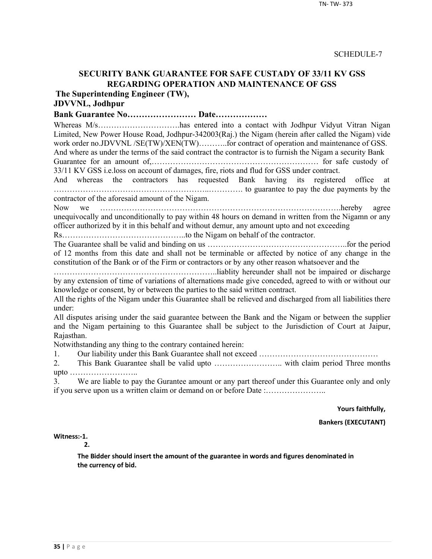## **SECURITY BANK GUARANTEE FOR SAFE CUSTADY OF 33/11 KV GSS REGARDING OPERATION AND MAINTENANCE OF GSS**

**The Superintending Engineer (TW),**

# **JDVVNL, Jodhpur**

**Bank Guarantee No…………………… Date………………**

Whereas M/s…………………………has entered into a contact with Jodhpur Vidyut Vitran Nigan Limited, New Power House Road, Jodhpur-342003(Raj.) the Nigam (herein after called the Nigam) vide work order no.JDVVNL /SE(TW)/XEN(TW)..........for contract of operation and maintenance of GSS. And where as under the terms of the said contract the contractor is to furnish the Nigam a security Bank

Guarantee for an amount of,……………………………………………………… for safe custody of 33/11 KV GSS i.e.loss on account of damages, fire, riots and flud for GSS under contract.

And whereas the contractors has requested Bank having its registered office at …………………………………………………..…………. to guarantee to pay the due payments by the contractor of the aforesaid amount of the Nigam.

Now we ……………………………………………………………………………….hereby agree unequivocally and unconditionally to pay within 48 hours on demand in written from the Nigamn or any officer authorized by it in this behalf and without demur, any amount upto and not exceeding

Rs………………………………………..to the Nigam on behalf of the contractor.

The Guarantee shall be valid and binding on us ……………………………………………..for the period of 12 months from this date and shall not be terminable or affected by notice of any change in the constitution of the Bank or of the Firm or contractors or by any other reason whatsoever and the

……………………………………………………..liablity hereunder shall not be impaired or discharge by any extension of time of variations of alternations made give conceded, agreed to with or without our knowledge or consent, by or between the parties to the said written contract.

All the rights of the Nigam under this Guarantee shall be relieved and discharged from all liabilities there under:

All disputes arising under the said guarantee between the Bank and the Nigam or between the supplier and the Nigam pertaining to this Guarantee shall be subject to the Jurisdiction of Court at Jaipur, Rajasthan.

Notwithstanding any thing to the contrary contained herein:

1. Our liability under this Bank Guarantee shall not exceed ………………………………………

2. This Bank Guarantee shall be valid upto …………………….. with claim period Three months upto ……………………..

3. We are liable to pay the Gurantee amount or any part thereof under this Guarantee only and only if you serve upon us a written claim or demand on or before Date :…………………..

**Yours faithfully,**

**Bankers (EXECUTANT)**

**Witness:-1.** 

**2.**

**The Bidder should insert the amount of the guarantee in words and figures denominated in the currency of bid.**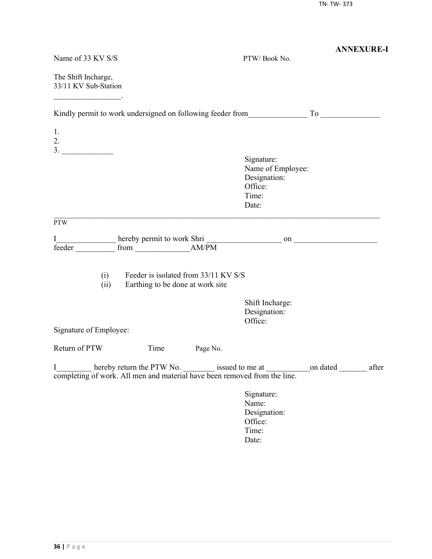|                                                                                |                                                                          |          |                                                                                                     | <b>ANNEXURE-I</b> |
|--------------------------------------------------------------------------------|--------------------------------------------------------------------------|----------|-----------------------------------------------------------------------------------------------------|-------------------|
| Name of 33 KV S/S                                                              |                                                                          |          | PTW/Book No.                                                                                        |                   |
| The Shift Incharge,<br>33/11 KV Sub-Station                                    |                                                                          |          |                                                                                                     |                   |
|                                                                                |                                                                          |          | Kindly permit to work undersigned on following feeder from To To                                    |                   |
| 1.<br>2.                                                                       |                                                                          |          |                                                                                                     |                   |
|                                                                                |                                                                          |          | Signature:<br>Name of Employee:<br>Designation:<br>Office:<br>Time:<br>Date:                        |                   |
| <b>PTW</b>                                                                     |                                                                          |          |                                                                                                     |                   |
| I<br>feeder                                                                    |                                                                          |          |                                                                                                     |                   |
| (i)<br>(ii)                                                                    | Feeder is isolated from 33/11 KV S/S<br>Earthing to be done at work site |          |                                                                                                     |                   |
|                                                                                |                                                                          |          | Shift Incharge:<br>Designation:<br>Office:                                                          |                   |
| Signature of Employee:                                                         |                                                                          |          |                                                                                                     |                   |
| Return of PTW                                                                  | Time                                                                     | Page No. |                                                                                                     |                   |
| I<br>completing of work. All men and material have been removed from the line. |                                                                          |          | hereby return the PTW No. _________ issued to me at _________________on dated _______________ after |                   |
|                                                                                |                                                                          |          | Signature:<br>Name:<br>Designation:<br>Office:<br>Time:<br>Date:                                    |                   |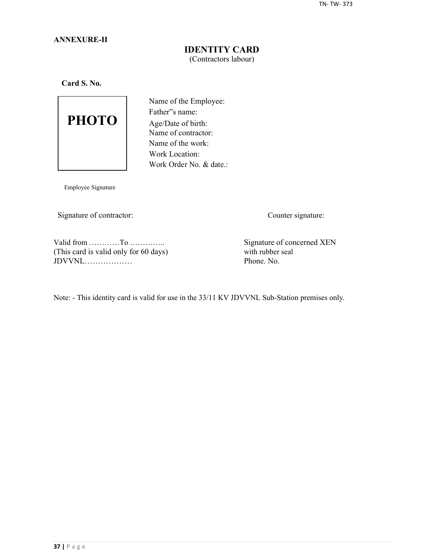## **ANNEXURE-II**

## **IDENTITY CARD** (Contractors labour)

**Card S. No.**



Name of the Employee: Father"s name: Age/Date of birth: Name of contractor: Name of the work: Work Location: Work Order No. & date.:

Employee Signature

Signature of contractor: Counter signature:

Valid from …………To …………..<br>
This card is valid only for 60 days) Signature of concerned XEN<br>
with rubber seal (This card is valid only for 60 days) with rubber seal  $JDVVNL$ 

Note: - This identity card is valid for use in the 33/11 KV JDVVNL Sub-Station premises only.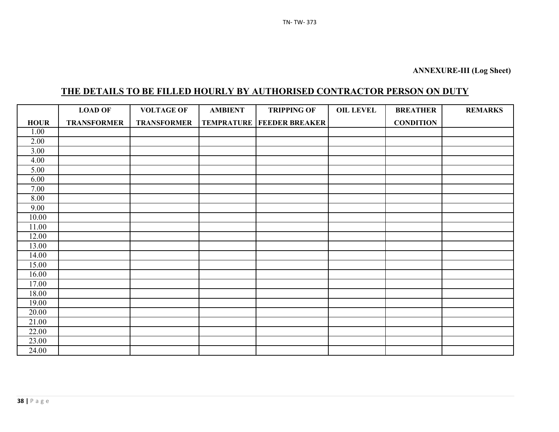# **THE DETAILS TO BE FILLED HOURLY BY AUTHORISED CONTRACTOR PERSON ON DUTY**

|             | <b>LOAD OF</b>     | <b>VOLTAGE OF</b>  | <b>AMBIENT</b> | <b>TRIPPING OF</b>                   | <b>OIL LEVEL</b> | <b>BREATHER</b>  | <b>REMARKS</b> |
|-------------|--------------------|--------------------|----------------|--------------------------------------|------------------|------------------|----------------|
| <b>HOUR</b> | <b>TRANSFORMER</b> | <b>TRANSFORMER</b> |                | <b>TEMPRATURE   FEEDER BREAKER  </b> |                  | <b>CONDITION</b> |                |
| 1.00        |                    |                    |                |                                      |                  |                  |                |
| 2.00        |                    |                    |                |                                      |                  |                  |                |
| 3.00        |                    |                    |                |                                      |                  |                  |                |
| 4.00        |                    |                    |                |                                      |                  |                  |                |
| 5.00        |                    |                    |                |                                      |                  |                  |                |
| 6.00        |                    |                    |                |                                      |                  |                  |                |
| 7.00        |                    |                    |                |                                      |                  |                  |                |
| 8.00        |                    |                    |                |                                      |                  |                  |                |
| 9.00        |                    |                    |                |                                      |                  |                  |                |
| 10.00       |                    |                    |                |                                      |                  |                  |                |
| 11.00       |                    |                    |                |                                      |                  |                  |                |
| 12.00       |                    |                    |                |                                      |                  |                  |                |
| 13.00       |                    |                    |                |                                      |                  |                  |                |
| 14.00       |                    |                    |                |                                      |                  |                  |                |
| 15.00       |                    |                    |                |                                      |                  |                  |                |
| 16.00       |                    |                    |                |                                      |                  |                  |                |
| 17.00       |                    |                    |                |                                      |                  |                  |                |
| 18.00       |                    |                    |                |                                      |                  |                  |                |
| 19.00       |                    |                    |                |                                      |                  |                  |                |
| 20.00       |                    |                    |                |                                      |                  |                  |                |
| 21.00       |                    |                    |                |                                      |                  |                  |                |
| 22.00       |                    |                    |                |                                      |                  |                  |                |
| 23.00       |                    |                    |                |                                      |                  |                  |                |
| 24.00       |                    |                    |                |                                      |                  |                  |                |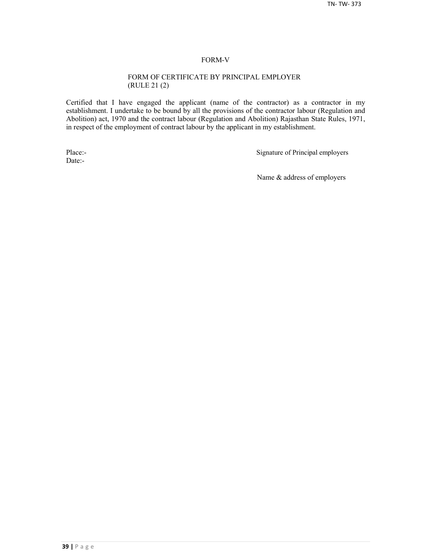#### FORM-V

#### FORM OF CERTIFICATE BY PRINCIPAL EMPLOYER (RULE 21 (2)

Certified that I have engaged the applicant (name of the contractor) as a contractor in my establishment. I undertake to be bound by all the provisions of the contractor labour (Regulation and Abolition) act, 1970 and the contract labour (Regulation and Abolition) Rajasthan State Rules, 1971, in respect of the employment of contract labour by the applicant in my establishment.

Date:-

Place:-<br>
Signature of Principal employers

Name & address of employers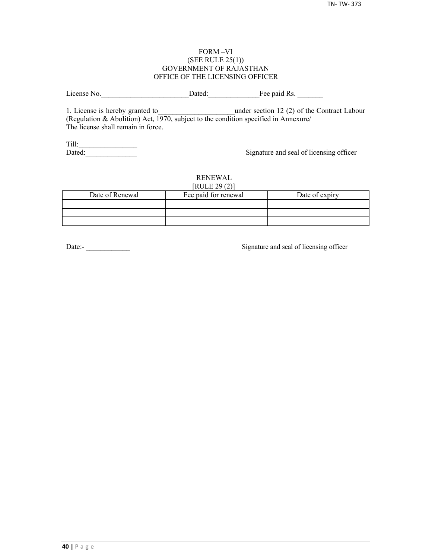#### FORM –VI (SEE RULE 25(1)) GOVERNMENT OF RAJASTHAN OFFICE OF THE LICENSING OFFICER

License No. 2012 Dated: The paid Rs.

1. License is hereby granted to **the under section 12 (2) of the Contract Labour** (Regulation & Abolition) Act, 1970, subject to the condition specified in Annexure/ The license shall remain in force.

Till:\_\_\_\_\_\_\_\_\_\_\_\_\_\_\_\_

Signature and seal of licensing officer

#### RENEWAL  $[PHH]$   $[20(2)]$

| NULEZ9(2)       |                      |                |  |  |  |  |
|-----------------|----------------------|----------------|--|--|--|--|
| Date of Renewal | Fee paid for renewal | Date of expiry |  |  |  |  |
|                 |                      |                |  |  |  |  |
|                 |                      |                |  |  |  |  |
|                 |                      |                |  |  |  |  |

Date:-<br>
Signature and seal of licensing officer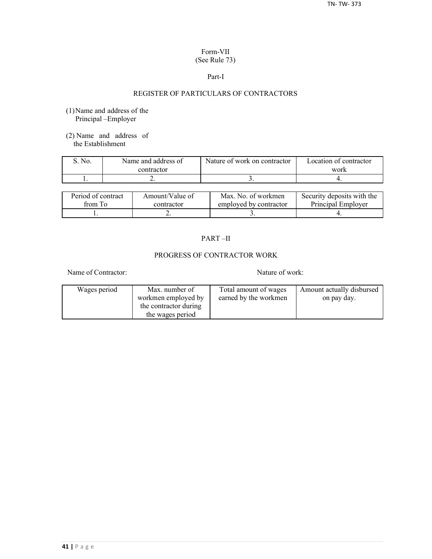## Form-VII (See Rule 73)

#### Part-I

## REGISTER OF PARTICULARS OF CONTRACTORS

- (1)Name and address of the Principal –Employer
- (2) Name and address of the Establishment

| S. No. | Name and address of | Nature of work on contractor | Location of contractor |  |
|--------|---------------------|------------------------------|------------------------|--|
|        | contractor          |                              | work                   |  |
|        | <u>.</u>            |                              |                        |  |

| Period of contract | Amount/Value of | Max. No. of workmen    | Security deposits with the |
|--------------------|-----------------|------------------------|----------------------------|
| from To            | contractor      | employed by contractor | Principal Employer         |
|                    | ∸               |                        |                            |

## PART –II

## PROGRESS OF CONTRACTOR WORK

Name of Contractor: Nature of work:

| Wages period | Max. number of        | Total amount of wages | Amount actually disbursed |
|--------------|-----------------------|-----------------------|---------------------------|
|              | workmen employed by   | earned by the workmen | on pay day.               |
|              | the contractor during |                       |                           |
|              | the wages period      |                       |                           |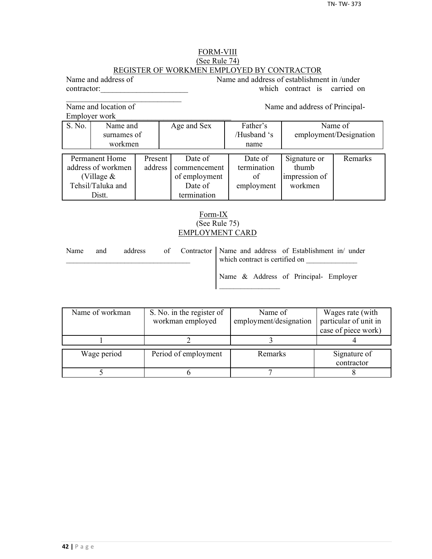## FORM-VIII (See Rule 74) REGISTER OF WORKMEN EMPLOYED BY CONTRACTOR

Name and address of Name and address of establishment in /under contractor: which contract is carried on

Name and location of Name and address of Principal-

 $\mathcal{L}_\text{max}$ 

Employer work\_\_\_\_\_\_\_\_\_\_\_\_\_\_\_\_\_\_\_\_\_\_\_\_\_\_\_\_\_

|                    | EIIIDIOVEI WOIK |         |                         |             |                        |         |  |
|--------------------|-----------------|---------|-------------------------|-------------|------------------------|---------|--|
| S. No.             | Name and        |         | Father's<br>Age and Sex |             |                        | Name of |  |
|                    | surnames of     |         |                         | /Husband 's | employment/Designation |         |  |
|                    | workmen         |         |                         | name        |                        |         |  |
|                    |                 |         |                         |             |                        |         |  |
|                    | Permanent Home  | Present | Date of                 | Date of     | Signature or           | Remarks |  |
| address of workmen |                 | address | commencement            | termination | thumb                  |         |  |
| (Village $&$       |                 |         | of employment           | of          | impression of          |         |  |
| Tehsil/Taluka and  |                 |         | Date of                 | employment  | workmen                |         |  |
| Distt.             |                 |         | termination             |             |                        |         |  |

## Form-IX (See Rule 75) EMPLOYMENT CARD

| Name<br>and |  | address |  | of Contractor   Name and address of Establishment in/ under<br>which contract is certified on |  |  |
|-------------|--|---------|--|-----------------------------------------------------------------------------------------------|--|--|
|             |  |         |  | Name & Address of Principal- Employer                                                         |  |  |

| Name of workman | S. No. in the register of | Name of                | Wages rate (with      |
|-----------------|---------------------------|------------------------|-----------------------|
|                 | workman employed          | employment/designation | particular of unit in |
|                 |                           |                        | case of piece work)   |
|                 |                           |                        |                       |
| Wage period     | Period of employment      | Remarks                | Signature of          |
|                 |                           |                        | contractor            |
|                 |                           |                        |                       |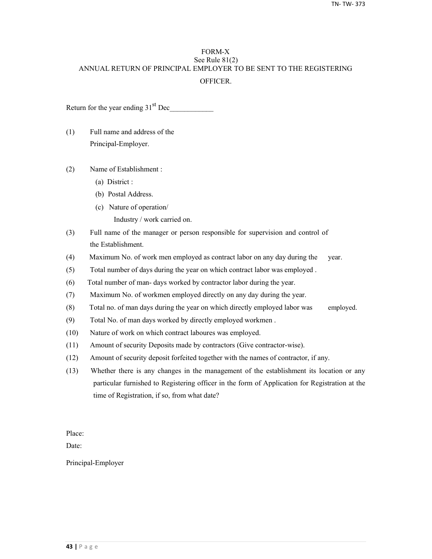## FORM-X See Rule 81(2) ANNUAL RETURN OF PRINCIPAL EMPLOYER TO BE SENT TO THE REGISTERING **OFFICER**

Return for the year ending  $31<sup>st</sup>$  Dec

- (1) Full name and address of the Principal-Employer.
- (2) Name of Establishment :
	- (a) District :
	- (b) Postal Address.
	- (c) Nature of operation/
		- Industry / work carried on.
- (3) Full name of the manager or person responsible for supervision and control of the Establishment.
- (4) Maximum No. of work men employed as contract labor on any day during the year.
- (5) Total number of days during the year on which contract labor was employed .
- (6) Total number of man- days worked by contractor labor during the year.
- (7) Maximum No. of workmen employed directly on any day during the year.
- (8) Total no. of man days during the year on which directly employed labor was employed.
- (9) Total No. of man days worked by directly employed workmen .
- (10) Nature of work on which contract laboures was employed.
- (11) Amount of security Deposits made by contractors (Give contractor-wise).
- (12) Amount of security deposit forfeited together with the names of contractor, if any.
- (13) Whether there is any changes in the management of the establishment its location or any particular furnished to Registering officer in the form of Application for Registration at the time of Registration, if so, from what date?

Place:

Date:

Principal-Employer